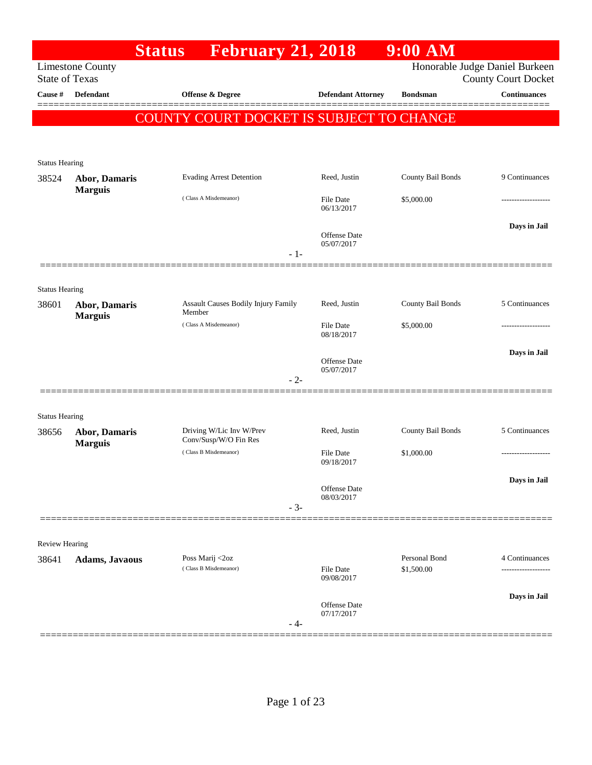|                                |                         | <b>February 21, 2018</b><br><b>Status</b>      |       |                                | 9:00 AM           |                                                              |
|--------------------------------|-------------------------|------------------------------------------------|-------|--------------------------------|-------------------|--------------------------------------------------------------|
| <b>State of Texas</b>          | <b>Limestone County</b> |                                                |       |                                |                   | Honorable Judge Daniel Burkeen<br><b>County Court Docket</b> |
| Cause #                        | Defendant               | Offense & Degree                               |       | <b>Defendant Attorney</b>      | <b>Bondsman</b>   | <b>Continuances</b>                                          |
|                                |                         | COUNTY COURT DOCKET IS SUBJECT TO CHANGE       |       |                                |                   |                                                              |
|                                |                         |                                                |       |                                |                   |                                                              |
| <b>Status Hearing</b>          |                         |                                                |       |                                |                   |                                                              |
| 38524                          | Abor, Damaris           | <b>Evading Arrest Detention</b>                |       | Reed, Justin                   | County Bail Bonds | 9 Continuances                                               |
|                                | <b>Marguis</b>          | (Class A Misdemeanor)                          |       | File Date<br>06/13/2017        | \$5,000.00        |                                                              |
|                                |                         |                                                |       | Offense Date<br>05/07/2017     |                   | Days in Jail                                                 |
|                                |                         |                                                | $-1-$ |                                |                   |                                                              |
| <b>Status Hearing</b>          |                         |                                                |       |                                |                   |                                                              |
| 38601                          | Abor, Damaris           | Assault Causes Bodily Injury Family<br>Member  |       | Reed, Justin                   | County Bail Bonds | 5 Continuances                                               |
|                                | <b>Marguis</b>          | (Class A Misdemeanor)                          |       | <b>File Date</b><br>08/18/2017 | \$5,000.00        |                                                              |
|                                |                         |                                                |       | Offense Date                   |                   | Days in Jail                                                 |
|                                |                         |                                                | $-2-$ | 05/07/2017                     |                   |                                                              |
|                                |                         |                                                |       |                                |                   |                                                              |
| <b>Status Hearing</b><br>38656 | Abor, Damaris           | Driving W/Lic Inv W/Prev                       |       | Reed, Justin                   | County Bail Bonds | 5 Continuances                                               |
|                                | <b>Marguis</b>          | Conv/Susp/W/O Fin Res<br>(Class B Misdemeanor) |       | <b>File Date</b><br>09/18/2017 | \$1,000.00        |                                                              |
|                                |                         |                                                |       | Offense Date                   |                   | Days in Jail                                                 |
|                                |                         |                                                | $-3-$ | 08/03/2017                     |                   |                                                              |
|                                |                         |                                                |       |                                |                   |                                                              |
| Review Hearing<br>38641        | Adams, Javaous          | Poss Marij <2oz                                |       |                                | Personal Bond     | 4 Continuances                                               |
|                                |                         | (Class B Misdemeanor)                          |       | <b>File Date</b><br>09/08/2017 | \$1,500.00        |                                                              |
|                                |                         |                                                |       | Offense Date                   |                   | Days in Jail                                                 |
|                                |                         |                                                | - 4-  | 07/17/2017                     |                   |                                                              |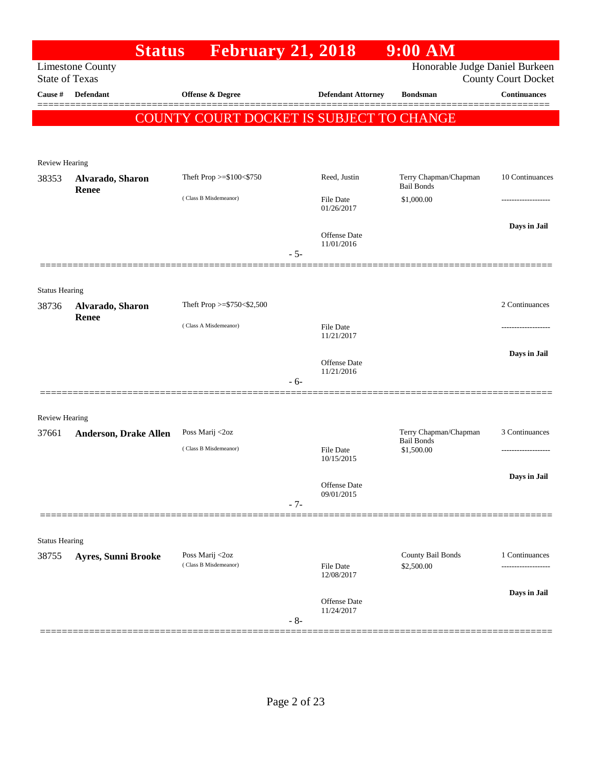|                                | <b>Status</b>                | <b>February 21, 2018</b>                 |       |                                   | $9:00$ AM                                  |                                      |
|--------------------------------|------------------------------|------------------------------------------|-------|-----------------------------------|--------------------------------------------|--------------------------------------|
| <b>State of Texas</b>          | <b>Limestone County</b>      |                                          |       |                                   | Honorable Judge Daniel Burkeen             | <b>County Court Docket</b>           |
| Cause #                        | <b>Defendant</b>             | <b>Offense &amp; Degree</b>              |       | <b>Defendant Attorney</b>         | <b>Bondsman</b>                            | <b>Continuances</b>                  |
|                                |                              | COUNTY COURT DOCKET IS SUBJECT TO CHANGE |       |                                   |                                            |                                      |
|                                |                              |                                          |       |                                   |                                            |                                      |
| Review Hearing                 |                              |                                          |       |                                   |                                            |                                      |
| 38353                          | Alvarado, Sharon<br>Renee    | Theft Prop $>=\$100<\$750$               |       | Reed, Justin                      | Terry Chapman/Chapman<br><b>Bail Bonds</b> | 10 Continuances                      |
|                                |                              | (Class B Misdemeanor)                    |       | <b>File Date</b><br>01/26/2017    | \$1,000.00                                 |                                      |
|                                |                              |                                          | $-5-$ | <b>Offense</b> Date<br>11/01/2016 |                                            | Days in Jail                         |
|                                |                              |                                          |       |                                   |                                            |                                      |
| <b>Status Hearing</b>          |                              |                                          |       |                                   |                                            |                                      |
| 38736                          | Alvarado, Sharon             | Theft Prop $>=$ \$750 < \$2,500          |       |                                   |                                            | 2 Continuances                       |
|                                | Renee                        | (Class A Misdemeanor)                    |       | <b>File Date</b><br>11/21/2017    |                                            | ---------------                      |
|                                |                              |                                          |       | <b>Offense</b> Date<br>11/21/2016 |                                            | Days in Jail                         |
|                                |                              |                                          | - 6-  |                                   |                                            |                                      |
|                                |                              |                                          |       |                                   |                                            |                                      |
| <b>Review Hearing</b><br>37661 | <b>Anderson, Drake Allen</b> | Poss Marij <2oz                          |       |                                   | Terry Chapman/Chapman                      | 3 Continuances                       |
|                                |                              | (Class B Misdemeanor)                    |       | <b>File Date</b><br>10/15/2015    | <b>Bail Bonds</b><br>\$1,500.00            |                                      |
|                                |                              |                                          |       |                                   |                                            | Days in Jail                         |
|                                |                              |                                          | $-7-$ | Offense Date<br>09/01/2015        |                                            |                                      |
|                                |                              |                                          |       |                                   |                                            |                                      |
| <b>Status Hearing</b>          |                              |                                          |       |                                   |                                            |                                      |
| 38755                          | <b>Ayres, Sunni Brooke</b>   | Poss Marij <2oz<br>(Class B Misdemeanor) |       | File Date                         | County Bail Bonds<br>\$2,500.00            | 1 Continuances<br>------------------ |
|                                |                              |                                          |       | 12/08/2017                        |                                            |                                      |
|                                |                              |                                          | $-8-$ | Offense Date<br>11/24/2017        |                                            | Days in Jail                         |
|                                |                              |                                          |       |                                   |                                            |                                      |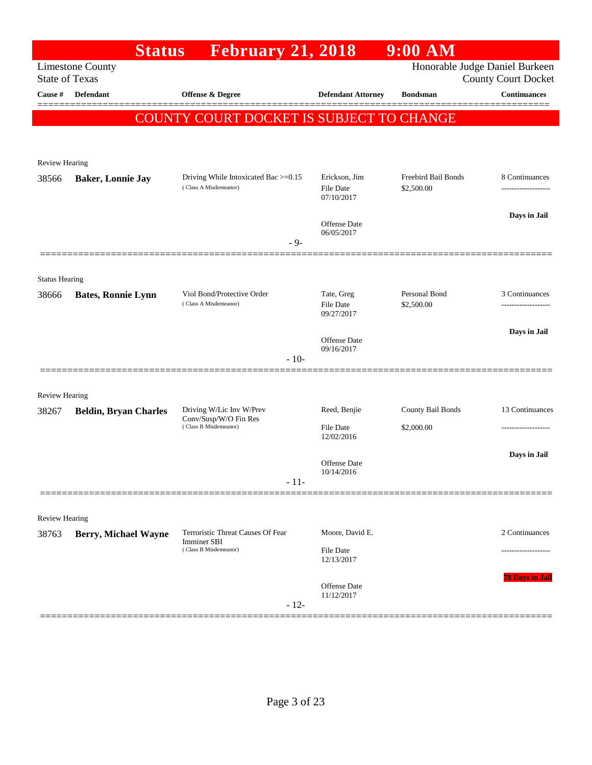|                         | <b>Status</b>                | <b>February 21, 2018</b>                                      |                                   | $9:00$ AM                         |                                                       |
|-------------------------|------------------------------|---------------------------------------------------------------|-----------------------------------|-----------------------------------|-------------------------------------------------------|
| <b>State of Texas</b>   | <b>Limestone County</b>      |                                                               |                                   |                                   | Honorable Judge Daniel Burkeen<br>County Court Docket |
| Cause #                 | <b>Defendant</b>             | <b>Offense &amp; Degree</b>                                   | <b>Defendant Attorney</b>         | <b>Bondsman</b>                   | <b>Continuances</b>                                   |
|                         |                              |                                                               |                                   |                                   | =======                                               |
|                         |                              | COUNTY COURT DOCKET IS SUBJECT TO CHANGE                      |                                   |                                   |                                                       |
|                         |                              |                                                               |                                   |                                   |                                                       |
| <b>Review Hearing</b>   |                              |                                                               |                                   |                                   |                                                       |
| 38566                   | <b>Baker, Lonnie Jay</b>     | Driving While Intoxicated Bac >=0.15<br>(Class A Misdemeanor) | Erickson, Jim<br><b>File Date</b> | Freebird Bail Bonds<br>\$2,500.00 | 8 Continuances<br>.                                   |
|                         |                              |                                                               | 07/10/2017                        |                                   |                                                       |
|                         |                              |                                                               | Offense Date                      |                                   | Days in Jail                                          |
|                         |                              | $-9-$                                                         | 06/05/2017                        |                                   |                                                       |
|                         |                              |                                                               |                                   |                                   |                                                       |
| <b>Status Hearing</b>   |                              |                                                               |                                   |                                   |                                                       |
| 38666                   | <b>Bates, Ronnie Lynn</b>    | Viol Bond/Protective Order                                    | Tate, Greg                        | Personal Bond                     | 3 Continuances                                        |
|                         |                              | (Class A Misdemeanor)                                         | <b>File Date</b><br>09/27/2017    | \$2,500.00                        | .                                                     |
|                         |                              |                                                               |                                   |                                   | Days in Jail                                          |
|                         |                              |                                                               | Offense Date<br>09/16/2017        |                                   |                                                       |
|                         |                              | $-10-$                                                        |                                   |                                   |                                                       |
|                         |                              |                                                               |                                   |                                   |                                                       |
| Review Hearing<br>38267 | <b>Beldin, Bryan Charles</b> | Driving W/Lic Inv W/Prev                                      | Reed, Benjie                      | County Bail Bonds                 | 13 Continuances                                       |
|                         |                              | Conv/Susp/W/O Fin Res<br>(Class B Misdemeanor)                | <b>File Date</b>                  | \$2,000.00                        |                                                       |
|                         |                              |                                                               | 12/02/2016                        |                                   |                                                       |
|                         |                              |                                                               | Offense Date                      |                                   | Days in Jail                                          |
|                         |                              | $-11-$                                                        | 10/14/2016                        |                                   |                                                       |
|                         |                              |                                                               |                                   |                                   |                                                       |
| Review Hearing          |                              |                                                               |                                   |                                   |                                                       |
| 38763                   | <b>Berry, Michael Wayne</b>  | Terroristic Threat Causes Of Fear<br><b>Imminet SBI</b>       | Moore, David E.                   |                                   | 2 Continuances                                        |
|                         |                              | (Class B Misdemeanor)                                         | File Date<br>12/13/2017           |                                   | ------------------                                    |
|                         |                              |                                                               |                                   |                                   | <b>78 Days in Jail</b>                                |
|                         |                              |                                                               | Offense Date<br>11/12/2017        |                                   |                                                       |
|                         |                              | $-12-$                                                        |                                   |                                   |                                                       |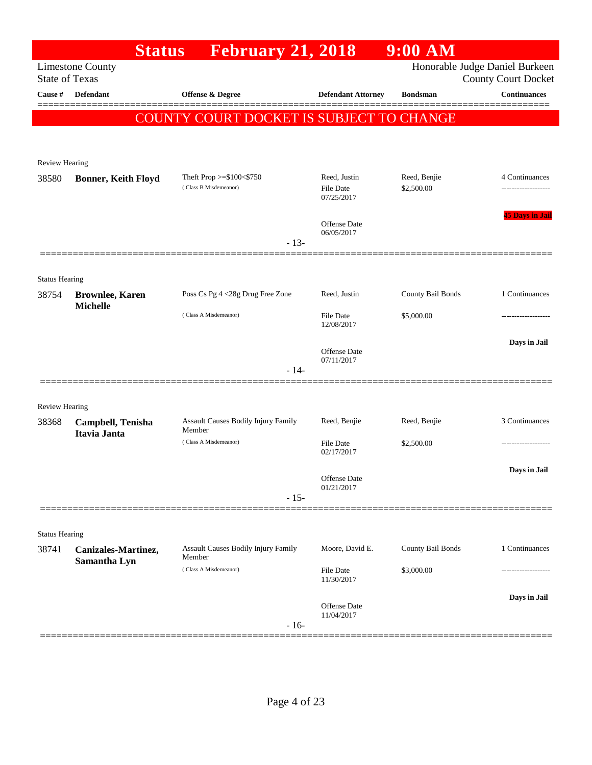| <b>February 21, 2018</b><br>Honorable Judge Daniel Burkeen<br><b>Limestone County</b><br><b>State of Texas</b><br><b>County Court Docket</b><br>Cause #<br><b>Defendant</b><br><b>Offense &amp; Degree</b><br><b>Defendant Attorney</b><br><b>Bondsman</b><br>COUNTY COURT DOCKET IS SUBJECT TO CHANGE<br><b>Review Hearing</b><br>Theft Prop >=\$100<\$750<br>Reed, Justin<br>Reed, Benjie<br>38580<br><b>Bonner, Keith Floyd</b><br>(Class B Misdemeanor)<br>\$2,500.00<br><b>File Date</b><br>07/25/2017<br><b>Offense</b> Date<br>06/05/2017<br>$-13-$<br><b>Status Hearing</b><br>Poss Cs Pg 4 <28g Drug Free Zone<br>County Bail Bonds<br>Reed, Justin<br>38754<br><b>Brownlee, Karen</b><br><b>Michelle</b><br>(Class A Misdemeanor)<br><b>File Date</b><br>\$5,000.00<br>12/08/2017<br><b>Offense</b> Date<br>07/11/2017<br>$-14-$<br><b>Review Hearing</b><br>Assault Causes Bodily Injury Family<br>Reed, Benjie<br>Reed, Benjie<br>38368<br>Campbell, Tenisha<br>Member<br>Itavia Janta<br>(Class A Misdemeanor)<br><b>File Date</b><br>\$2,500.00<br>02/17/2017<br>Offense Date<br>01/21/2017<br>$-15-$ |                        |
|---------------------------------------------------------------------------------------------------------------------------------------------------------------------------------------------------------------------------------------------------------------------------------------------------------------------------------------------------------------------------------------------------------------------------------------------------------------------------------------------------------------------------------------------------------------------------------------------------------------------------------------------------------------------------------------------------------------------------------------------------------------------------------------------------------------------------------------------------------------------------------------------------------------------------------------------------------------------------------------------------------------------------------------------------------------------------------------------------------------------|------------------------|
|                                                                                                                                                                                                                                                                                                                                                                                                                                                                                                                                                                                                                                                                                                                                                                                                                                                                                                                                                                                                                                                                                                                     |                        |
|                                                                                                                                                                                                                                                                                                                                                                                                                                                                                                                                                                                                                                                                                                                                                                                                                                                                                                                                                                                                                                                                                                                     | <b>Continuances</b>    |
|                                                                                                                                                                                                                                                                                                                                                                                                                                                                                                                                                                                                                                                                                                                                                                                                                                                                                                                                                                                                                                                                                                                     |                        |
|                                                                                                                                                                                                                                                                                                                                                                                                                                                                                                                                                                                                                                                                                                                                                                                                                                                                                                                                                                                                                                                                                                                     |                        |
|                                                                                                                                                                                                                                                                                                                                                                                                                                                                                                                                                                                                                                                                                                                                                                                                                                                                                                                                                                                                                                                                                                                     |                        |
|                                                                                                                                                                                                                                                                                                                                                                                                                                                                                                                                                                                                                                                                                                                                                                                                                                                                                                                                                                                                                                                                                                                     | 4 Continuances         |
|                                                                                                                                                                                                                                                                                                                                                                                                                                                                                                                                                                                                                                                                                                                                                                                                                                                                                                                                                                                                                                                                                                                     | .                      |
|                                                                                                                                                                                                                                                                                                                                                                                                                                                                                                                                                                                                                                                                                                                                                                                                                                                                                                                                                                                                                                                                                                                     | <b>45 Days in Jail</b> |
|                                                                                                                                                                                                                                                                                                                                                                                                                                                                                                                                                                                                                                                                                                                                                                                                                                                                                                                                                                                                                                                                                                                     |                        |
|                                                                                                                                                                                                                                                                                                                                                                                                                                                                                                                                                                                                                                                                                                                                                                                                                                                                                                                                                                                                                                                                                                                     |                        |
|                                                                                                                                                                                                                                                                                                                                                                                                                                                                                                                                                                                                                                                                                                                                                                                                                                                                                                                                                                                                                                                                                                                     |                        |
|                                                                                                                                                                                                                                                                                                                                                                                                                                                                                                                                                                                                                                                                                                                                                                                                                                                                                                                                                                                                                                                                                                                     | 1 Continuances         |
|                                                                                                                                                                                                                                                                                                                                                                                                                                                                                                                                                                                                                                                                                                                                                                                                                                                                                                                                                                                                                                                                                                                     |                        |
|                                                                                                                                                                                                                                                                                                                                                                                                                                                                                                                                                                                                                                                                                                                                                                                                                                                                                                                                                                                                                                                                                                                     | Days in Jail           |
|                                                                                                                                                                                                                                                                                                                                                                                                                                                                                                                                                                                                                                                                                                                                                                                                                                                                                                                                                                                                                                                                                                                     |                        |
|                                                                                                                                                                                                                                                                                                                                                                                                                                                                                                                                                                                                                                                                                                                                                                                                                                                                                                                                                                                                                                                                                                                     |                        |
|                                                                                                                                                                                                                                                                                                                                                                                                                                                                                                                                                                                                                                                                                                                                                                                                                                                                                                                                                                                                                                                                                                                     |                        |
|                                                                                                                                                                                                                                                                                                                                                                                                                                                                                                                                                                                                                                                                                                                                                                                                                                                                                                                                                                                                                                                                                                                     | 3 Continuances         |
|                                                                                                                                                                                                                                                                                                                                                                                                                                                                                                                                                                                                                                                                                                                                                                                                                                                                                                                                                                                                                                                                                                                     |                        |
|                                                                                                                                                                                                                                                                                                                                                                                                                                                                                                                                                                                                                                                                                                                                                                                                                                                                                                                                                                                                                                                                                                                     | Days in Jail           |
|                                                                                                                                                                                                                                                                                                                                                                                                                                                                                                                                                                                                                                                                                                                                                                                                                                                                                                                                                                                                                                                                                                                     |                        |
|                                                                                                                                                                                                                                                                                                                                                                                                                                                                                                                                                                                                                                                                                                                                                                                                                                                                                                                                                                                                                                                                                                                     |                        |
| <b>Status Hearing</b>                                                                                                                                                                                                                                                                                                                                                                                                                                                                                                                                                                                                                                                                                                                                                                                                                                                                                                                                                                                                                                                                                               |                        |
| <b>Assault Causes Bodily Injury Family</b><br>Moore, David E.<br>County Bail Bonds<br>38741<br>Canizales-Martinez,<br>Member                                                                                                                                                                                                                                                                                                                                                                                                                                                                                                                                                                                                                                                                                                                                                                                                                                                                                                                                                                                        | 1 Continuances         |
| Samantha Lyn<br>(Class A Misdemeanor)<br>\$3,000.00<br><b>File Date</b><br>11/30/2017                                                                                                                                                                                                                                                                                                                                                                                                                                                                                                                                                                                                                                                                                                                                                                                                                                                                                                                                                                                                                               |                        |
|                                                                                                                                                                                                                                                                                                                                                                                                                                                                                                                                                                                                                                                                                                                                                                                                                                                                                                                                                                                                                                                                                                                     | Days in Jail           |
| <b>Offense</b> Date<br>11/04/2017<br>$-16-$                                                                                                                                                                                                                                                                                                                                                                                                                                                                                                                                                                                                                                                                                                                                                                                                                                                                                                                                                                                                                                                                         |                        |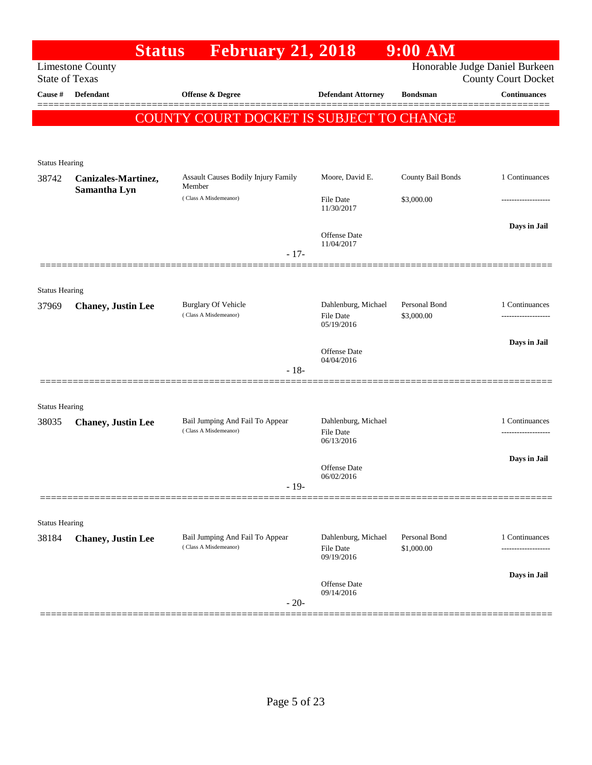|                                | <b>Status</b>              | <b>February 21, 2018</b>                                 |                                                       | $9:00$ AM                   |                                                              |
|--------------------------------|----------------------------|----------------------------------------------------------|-------------------------------------------------------|-----------------------------|--------------------------------------------------------------|
| <b>State of Texas</b>          | <b>Limestone County</b>    |                                                          |                                                       |                             | Honorable Judge Daniel Burkeen<br><b>County Court Docket</b> |
| Cause #                        | <b>Defendant</b>           | Offense & Degree                                         | <b>Defendant Attorney</b>                             | <b>Bondsman</b>             | <b>Continuances</b>                                          |
|                                |                            | <b>COUNTY COURT DOCKET IS SUBJECT TO CHANGE</b>          |                                                       |                             |                                                              |
|                                |                            |                                                          |                                                       |                             |                                                              |
| <b>Status Hearing</b>          |                            |                                                          |                                                       |                             |                                                              |
| 38742                          | Canizales-Martinez,        | <b>Assault Causes Bodily Injury Family</b><br>Member     | Moore, David E.                                       | County Bail Bonds           | 1 Continuances                                               |
|                                | Samantha Lyn               | (Class A Misdemeanor)                                    | <b>File Date</b><br>11/30/2017                        | \$3,000.00                  |                                                              |
|                                |                            |                                                          | <b>Offense Date</b><br>11/04/2017                     |                             | Days in Jail                                                 |
|                                |                            | $-17-$                                                   |                                                       |                             |                                                              |
| <b>Status Hearing</b>          |                            |                                                          |                                                       |                             |                                                              |
| 37969                          | <b>Chaney</b> , Justin Lee | <b>Burglary Of Vehicle</b><br>(Class A Misdemeanor)      | Dahlenburg, Michael<br><b>File Date</b>               | Personal Bond<br>\$3,000.00 | 1 Continuances                                               |
|                                |                            |                                                          | 05/19/2016                                            |                             |                                                              |
|                                |                            |                                                          | <b>Offense Date</b><br>04/04/2016                     |                             | Days in Jail                                                 |
|                                |                            | $-18-$                                                   |                                                       |                             |                                                              |
|                                |                            |                                                          |                                                       |                             |                                                              |
| <b>Status Hearing</b><br>38035 | <b>Chaney, Justin Lee</b>  | Bail Jumping And Fail To Appear                          | Dahlenburg, Michael                                   |                             | 1 Continuances                                               |
|                                |                            | (Class A Misdemeanor)                                    | <b>File Date</b><br>06/13/2016                        |                             |                                                              |
|                                |                            |                                                          | Offense Date                                          |                             | Days in Jail                                                 |
|                                |                            | $-19-$                                                   | 06/02/2016                                            |                             |                                                              |
|                                |                            |                                                          |                                                       |                             |                                                              |
| <b>Status Hearing</b>          |                            |                                                          |                                                       |                             |                                                              |
| 38184                          | <b>Chaney, Justin Lee</b>  | Bail Jumping And Fail To Appear<br>(Class A Misdemeanor) | Dahlenburg, Michael<br><b>File Date</b><br>09/19/2016 | Personal Bond<br>\$1,000.00 | 1 Continuances<br>-----------------                          |
|                                |                            |                                                          | <b>Offense Date</b>                                   |                             | Days in Jail                                                 |
|                                |                            | $-20-$                                                   | 09/14/2016                                            |                             |                                                              |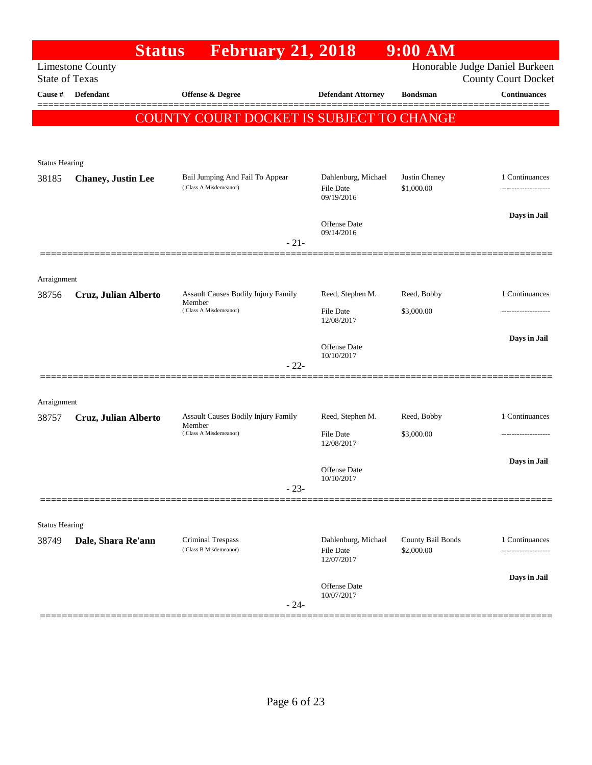| <b>Limestone County</b><br><b>State of Texas</b><br>Cause #<br><b>Defendant</b><br><b>Offense &amp; Degree</b><br><b>Defendant Attorney</b><br>COUNTY COURT DOCKET IS SUBJECT TO CHANGE | Honorable Judge Daniel Burkeen<br><b>County Court Docket</b><br><b>Continuances</b><br><b>Bondsman</b> |
|-----------------------------------------------------------------------------------------------------------------------------------------------------------------------------------------|--------------------------------------------------------------------------------------------------------|
|                                                                                                                                                                                         |                                                                                                        |
|                                                                                                                                                                                         |                                                                                                        |
|                                                                                                                                                                                         |                                                                                                        |
|                                                                                                                                                                                         |                                                                                                        |
| <b>Status Hearing</b>                                                                                                                                                                   |                                                                                                        |
| Dahlenburg, Michael<br>Bail Jumping And Fail To Appear<br>38185<br><b>Chaney</b> , Justin Lee<br>(Class A Misdemeanor)                                                                  | Justin Chaney<br>1 Continuances                                                                        |
| File Date<br>09/19/2016                                                                                                                                                                 | \$1,000.00<br>-------------------                                                                      |
| <b>Offense Date</b>                                                                                                                                                                     | Days in Jail                                                                                           |
| 09/14/2016<br>$-21-$                                                                                                                                                                    |                                                                                                        |
|                                                                                                                                                                                         |                                                                                                        |
| Arraignment                                                                                                                                                                             |                                                                                                        |
| Assault Causes Bodily Injury Family<br>Reed, Stephen M.<br>38756<br>Cruz, Julian Alberto<br>Member                                                                                      | Reed, Bobby<br>1 Continuances                                                                          |
| (Class A Misdemeanor)<br><b>File Date</b><br>12/08/2017                                                                                                                                 | \$3,000.00                                                                                             |
|                                                                                                                                                                                         | Days in Jail                                                                                           |
| Offense Date<br>10/10/2017                                                                                                                                                              |                                                                                                        |
| $-22-$                                                                                                                                                                                  |                                                                                                        |
| Arraignment                                                                                                                                                                             |                                                                                                        |
| Assault Causes Bodily Injury Family<br>Reed, Stephen M.<br>38757<br>Cruz, Julian Alberto                                                                                                | Reed, Bobby<br>1 Continuances                                                                          |
| Member<br>(Class A Misdemeanor)<br><b>File Date</b><br>12/08/2017                                                                                                                       | \$3,000.00<br>------------------                                                                       |
|                                                                                                                                                                                         | Days in Jail                                                                                           |
| Offense Date<br>10/10/2017                                                                                                                                                              |                                                                                                        |
| $-23-$                                                                                                                                                                                  |                                                                                                        |
|                                                                                                                                                                                         |                                                                                                        |
| <b>Status Hearing</b>                                                                                                                                                                   |                                                                                                        |
| <b>Criminal Trespass</b><br>Dahlenburg, Michael<br>Dale, Shara Re'ann<br>38749<br>(Class B Misdemeanor)<br>File Date<br>12/07/2017                                                      | County Bail Bonds<br>1 Continuances<br>\$2,000.00                                                      |
| Offense Date                                                                                                                                                                            | Days in Jail                                                                                           |
| 10/07/2017<br>$-24-$                                                                                                                                                                    |                                                                                                        |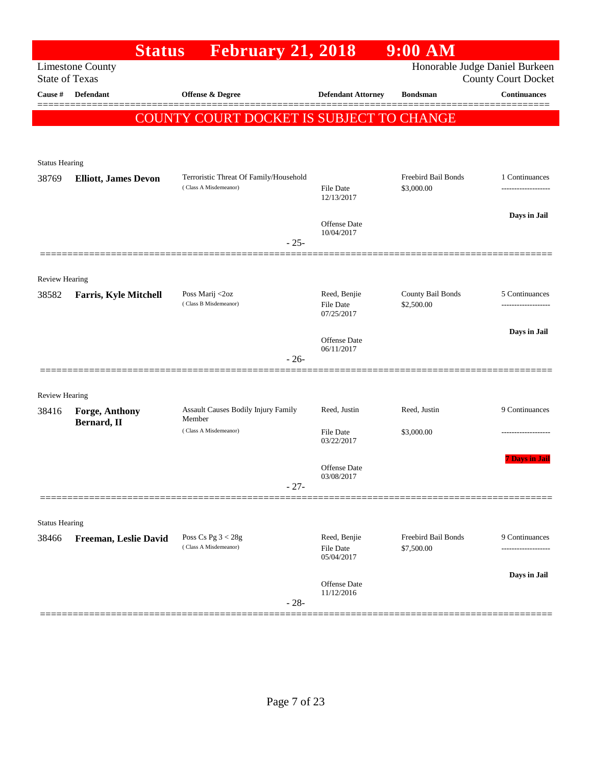|                                | <b>Status</b>                 | <b>February 21, 2018</b>                                        |                                                | $9:00$ AM                         |                                                              |
|--------------------------------|-------------------------------|-----------------------------------------------------------------|------------------------------------------------|-----------------------------------|--------------------------------------------------------------|
| <b>State of Texas</b>          | <b>Limestone County</b>       |                                                                 |                                                |                                   | Honorable Judge Daniel Burkeen<br><b>County Court Docket</b> |
| Cause #                        | <b>Defendant</b>              | <b>Offense &amp; Degree</b>                                     | <b>Defendant Attorney</b>                      | <b>Bondsman</b>                   | <b>Continuances</b>                                          |
|                                |                               | COUNTY COURT DOCKET IS SUBJECT TO CHANGE                        |                                                |                                   |                                                              |
|                                |                               |                                                                 |                                                |                                   |                                                              |
| <b>Status Hearing</b>          |                               |                                                                 |                                                |                                   |                                                              |
| 38769                          | <b>Elliott, James Devon</b>   | Terroristic Threat Of Family/Household<br>(Class A Misdemeanor) | File Date<br>12/13/2017                        | Freebird Bail Bonds<br>\$3,000.00 | 1 Continuances<br>-----------------                          |
|                                |                               |                                                                 | <b>Offense Date</b>                            |                                   | Days in Jail                                                 |
|                                |                               | $-25-$                                                          | 10/04/2017                                     |                                   |                                                              |
|                                |                               |                                                                 |                                                |                                   |                                                              |
| <b>Review Hearing</b><br>38582 | <b>Farris, Kyle Mitchell</b>  | Poss Marij <2oz                                                 | Reed, Benjie                                   | County Bail Bonds                 | 5 Continuances                                               |
|                                |                               | (Class B Misdemeanor)                                           | File Date<br>07/25/2017                        | \$2,500.00                        | ----------------                                             |
|                                |                               |                                                                 | Offense Date                                   |                                   | Days in Jail                                                 |
|                                |                               | $-26-$                                                          | 06/11/2017                                     |                                   |                                                              |
|                                |                               |                                                                 |                                                |                                   |                                                              |
| <b>Review Hearing</b>          |                               |                                                                 |                                                |                                   |                                                              |
| 38416                          | Forge, Anthony<br>Bernard, II | Assault Causes Bodily Injury Family<br>Member                   | Reed, Justin                                   | Reed, Justin                      | 9 Continuances                                               |
|                                |                               | (Class A Misdemeanor)                                           | File Date<br>03/22/2017                        | \$3,000.00                        | ----------------                                             |
|                                |                               |                                                                 | Offense Date                                   |                                   | <b>7 Days in Jail</b>                                        |
|                                |                               | $-27-$                                                          | 03/08/2017                                     |                                   |                                                              |
|                                |                               |                                                                 |                                                |                                   |                                                              |
| <b>Status Hearing</b>          |                               |                                                                 |                                                |                                   |                                                              |
| 38466                          | Freeman, Leslie David         | Poss Cs Pg $3 < 28g$<br>(Class A Misdemeanor)                   | Reed, Benjie<br><b>File Date</b><br>05/04/2017 | Freebird Bail Bonds<br>\$7,500.00 | 9 Continuances                                               |
|                                |                               |                                                                 | Offense Date                                   |                                   | Days in Jail                                                 |
|                                |                               | $-28-$                                                          | 11/12/2016                                     |                                   |                                                              |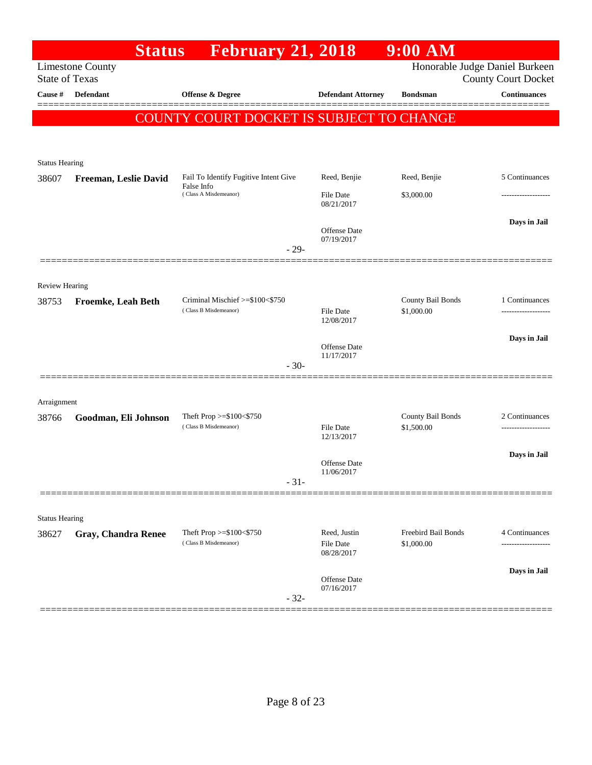|                       | <b>Status</b>              | <b>February 21, 2018</b>                            |                                                | $9:00$ AM                         |                                                              |
|-----------------------|----------------------------|-----------------------------------------------------|------------------------------------------------|-----------------------------------|--------------------------------------------------------------|
| <b>State of Texas</b> | <b>Limestone County</b>    |                                                     |                                                |                                   | Honorable Judge Daniel Burkeen<br><b>County Court Docket</b> |
| <b>Cause</b> #        | <b>Defendant</b>           | <b>Offense &amp; Degree</b>                         | <b>Defendant Attorney</b>                      | <b>Bondsman</b>                   | <b>Continuances</b>                                          |
|                       |                            | <b>COUNTY COURT DOCKET IS SUBJECT TO CHANGE</b>     |                                                |                                   |                                                              |
|                       |                            |                                                     |                                                |                                   |                                                              |
| <b>Status Hearing</b> |                            |                                                     |                                                |                                   |                                                              |
| 38607                 | Freeman, Leslie David      | Fail To Identify Fugitive Intent Give               | Reed, Benjie                                   | Reed, Benjie                      | 5 Continuances                                               |
|                       |                            | False Info<br>(Class A Misdemeanor)                 | <b>File Date</b><br>08/21/2017                 | \$3,000.00                        |                                                              |
|                       |                            |                                                     |                                                |                                   | Days in Jail                                                 |
|                       |                            |                                                     | Offense Date<br>07/19/2017                     |                                   |                                                              |
|                       |                            | $-29-$                                              |                                                |                                   |                                                              |
| Review Hearing        |                            |                                                     |                                                |                                   |                                                              |
| 38753                 | <b>Froemke, Leah Beth</b>  | Criminal Mischief >=\$100<\$750                     |                                                | County Bail Bonds                 | 1 Continuances                                               |
|                       |                            | (Class B Misdemeanor)                               | <b>File Date</b><br>12/08/2017                 | \$1,000.00                        | -------------------                                          |
|                       |                            |                                                     | Offense Date                                   |                                   | Days in Jail                                                 |
|                       |                            | $-30-$                                              | 11/17/2017                                     |                                   |                                                              |
|                       |                            |                                                     |                                                |                                   |                                                              |
| Arraignment           |                            |                                                     |                                                |                                   |                                                              |
| 38766                 | Goodman, Eli Johnson       | Theft Prop >=\$100<\$750<br>(Class B Misdemeanor)   | <b>File Date</b>                               | County Bail Bonds<br>\$1,500.00   | 2 Continuances                                               |
|                       |                            |                                                     | 12/13/2017                                     |                                   |                                                              |
|                       |                            |                                                     | Offense Date<br>11/06/2017                     |                                   | Days in Jail                                                 |
|                       |                            | $-31-$                                              |                                                |                                   |                                                              |
|                       |                            |                                                     |                                                |                                   |                                                              |
| <b>Status Hearing</b> |                            |                                                     |                                                |                                   |                                                              |
| 38627                 | <b>Gray, Chandra Renee</b> | Theft Prop $>=\$100<\$750$<br>(Class B Misdemeanor) | Reed, Justin<br><b>File Date</b><br>08/28/2017 | Freebird Bail Bonds<br>\$1,000.00 | 4 Continuances<br>                                           |
|                       |                            |                                                     |                                                |                                   | Days in Jail                                                 |
|                       |                            | $-32-$                                              | Offense Date<br>07/16/2017                     |                                   |                                                              |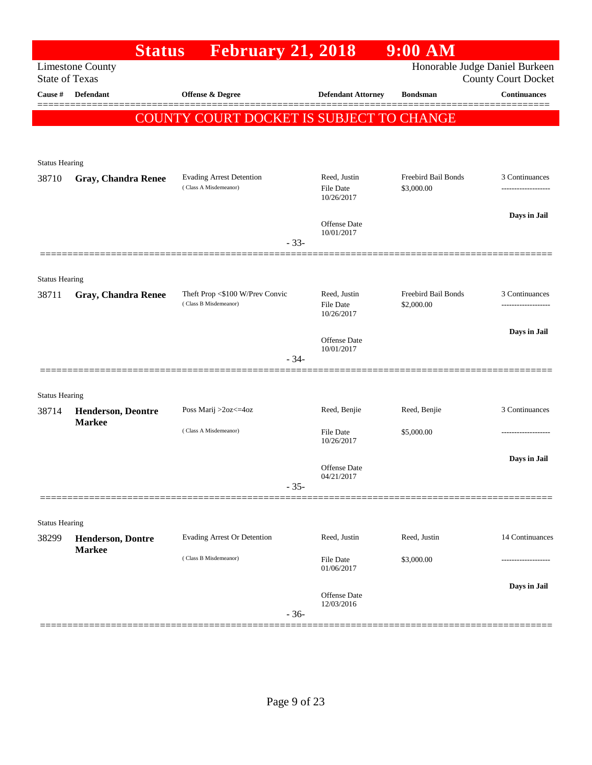|                       | <b>Status</b>                              | <b>February 21, 2018</b>                                 |        |                                                | 9:00 AM                           |                                                              |
|-----------------------|--------------------------------------------|----------------------------------------------------------|--------|------------------------------------------------|-----------------------------------|--------------------------------------------------------------|
| <b>State of Texas</b> | <b>Limestone County</b>                    |                                                          |        |                                                |                                   | Honorable Judge Daniel Burkeen<br><b>County Court Docket</b> |
| Cause #               | <b>Defendant</b>                           | Offense & Degree                                         |        | <b>Defendant Attorney</b>                      | <b>Bondsman</b>                   | <b>Continuances</b>                                          |
|                       |                                            | COUNTY COURT DOCKET IS SUBJECT TO CHANGE                 |        |                                                |                                   |                                                              |
|                       |                                            |                                                          |        |                                                |                                   |                                                              |
| <b>Status Hearing</b> |                                            |                                                          |        |                                                |                                   |                                                              |
| 38710                 | <b>Gray, Chandra Renee</b>                 | <b>Evading Arrest Detention</b><br>(Class A Misdemeanor) |        | Reed, Justin<br><b>File Date</b>               | Freebird Bail Bonds<br>\$3,000.00 | 3 Continuances                                               |
|                       |                                            |                                                          |        | 10/26/2017                                     |                                   | Days in Jail                                                 |
|                       |                                            |                                                          | $-33-$ | <b>Offense Date</b><br>10/01/2017              |                                   |                                                              |
|                       |                                            |                                                          |        |                                                |                                   |                                                              |
| <b>Status Hearing</b> |                                            |                                                          |        |                                                |                                   |                                                              |
| 38711                 | <b>Gray, Chandra Renee</b>                 | Theft Prop <\$100 W/Prev Convic<br>(Class B Misdemeanor) |        | Reed, Justin<br><b>File Date</b><br>10/26/2017 | Freebird Bail Bonds<br>\$2,000.00 | 3 Continuances<br>.                                          |
|                       |                                            |                                                          |        |                                                |                                   | Days in Jail                                                 |
|                       |                                            |                                                          | $-34-$ | <b>Offense Date</b><br>10/01/2017              |                                   |                                                              |
|                       |                                            |                                                          |        |                                                |                                   |                                                              |
| <b>Status Hearing</b> |                                            |                                                          |        |                                                |                                   |                                                              |
| 38714                 | <b>Henderson, Deontre</b><br><b>Markee</b> | Poss Marij >2oz<=4oz                                     |        | Reed, Benjie                                   | Reed, Benjie                      | 3 Continuances                                               |
|                       |                                            | (Class A Misdemeanor)                                    |        | <b>File Date</b><br>10/26/2017                 | \$5,000.00                        |                                                              |
|                       |                                            |                                                          |        |                                                |                                   | Days in Jail                                                 |
|                       |                                            |                                                          | $-35-$ | <b>Offense Date</b><br>04/21/2017              |                                   |                                                              |
|                       |                                            |                                                          |        |                                                |                                   |                                                              |
| <b>Status Hearing</b> |                                            |                                                          |        |                                                |                                   |                                                              |
| 38299                 | <b>Henderson, Dontre</b><br><b>Markee</b>  | <b>Evading Arrest Or Detention</b>                       |        | Reed, Justin                                   | Reed, Justin                      | 14 Continuances                                              |
|                       |                                            | (Class B Misdemeanor)                                    |        | <b>File Date</b><br>01/06/2017                 | \$3,000.00                        |                                                              |
|                       |                                            |                                                          |        | <b>Offense</b> Date                            |                                   | Days in Jail                                                 |
|                       |                                            |                                                          | $-36-$ | 12/03/2016                                     |                                   |                                                              |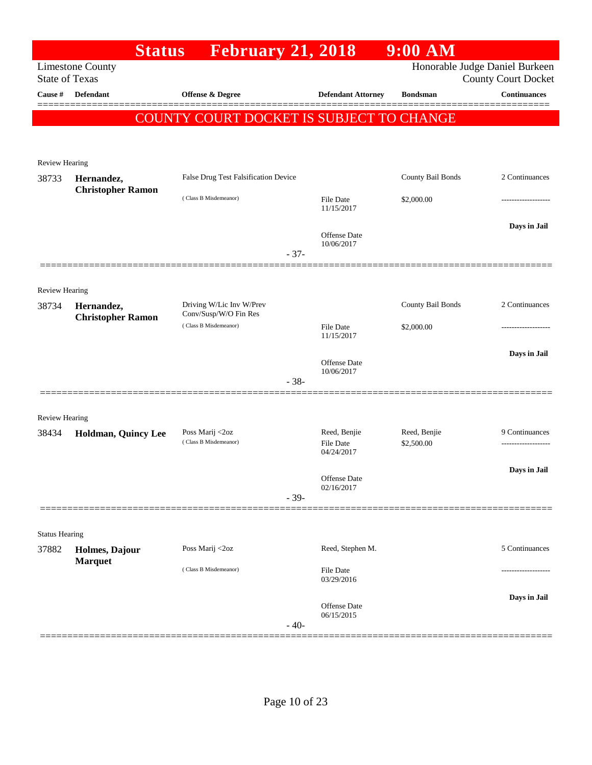|                         | <b>Status</b>                          | <b>February 21, 2018</b>                          |                                | 9:00 AM           |                                                              |
|-------------------------|----------------------------------------|---------------------------------------------------|--------------------------------|-------------------|--------------------------------------------------------------|
| <b>State of Texas</b>   | <b>Limestone County</b>                |                                                   |                                |                   | Honorable Judge Daniel Burkeen<br><b>County Court Docket</b> |
| Cause #                 | <b>Defendant</b>                       | Offense & Degree                                  | <b>Defendant Attorney</b>      | <b>Bondsman</b>   | <b>Continuances</b>                                          |
|                         |                                        | COUNTY COURT DOCKET IS SUBJECT TO CHANGE          |                                |                   |                                                              |
|                         |                                        |                                                   |                                |                   |                                                              |
| Review Hearing          |                                        |                                                   |                                |                   |                                                              |
| 38733                   | Hernandez,                             | False Drug Test Falsification Device              |                                | County Bail Bonds | 2 Continuances                                               |
|                         | <b>Christopher Ramon</b>               | (Class B Misdemeanor)                             | <b>File Date</b>               | \$2,000.00        |                                                              |
|                         |                                        |                                                   | 11/15/2017                     |                   |                                                              |
|                         |                                        |                                                   | Offense Date                   |                   | Days in Jail                                                 |
|                         |                                        |                                                   | 10/06/2017<br>$-37-$           |                   |                                                              |
|                         |                                        |                                                   |                                |                   |                                                              |
| Review Hearing          |                                        |                                                   |                                |                   |                                                              |
| 38734                   | Hernandez,<br><b>Christopher Ramon</b> | Driving W/Lic Inv W/Prev<br>Conv/Susp/W/O Fin Res |                                | County Bail Bonds | 2 Continuances                                               |
|                         |                                        | (Class B Misdemeanor)                             | <b>File Date</b><br>11/15/2017 | \$2,000.00        |                                                              |
|                         |                                        |                                                   |                                |                   | Days in Jail                                                 |
|                         |                                        |                                                   | Offense Date<br>10/06/2017     |                   |                                                              |
|                         |                                        |                                                   | $-38-$                         |                   |                                                              |
|                         |                                        |                                                   |                                |                   |                                                              |
| Review Hearing<br>38434 | Holdman, Quincy Lee                    | Poss Marij <2oz                                   | Reed, Benjie                   | Reed, Benjie      | 9 Continuances                                               |
|                         |                                        | (Class B Misdemeanor)                             | <b>File Date</b><br>04/24/2017 | \$2,500.00        |                                                              |
|                         |                                        |                                                   |                                |                   | Days in Jail                                                 |
|                         |                                        |                                                   | Offense Date<br>02/16/2017     |                   |                                                              |
|                         |                                        |                                                   | $-39-$                         |                   |                                                              |
| <b>Status Hearing</b>   |                                        |                                                   |                                |                   |                                                              |
| 37882                   | Holmes, Dajour                         | Poss Marij <2oz                                   | Reed, Stephen M.               |                   | 5 Continuances                                               |
|                         | <b>Marquet</b>                         | (Class B Misdemeanor)                             | <b>File Date</b>               |                   |                                                              |
|                         |                                        |                                                   | 03/29/2016                     |                   |                                                              |
|                         |                                        |                                                   | Offense Date                   |                   | Days in Jail                                                 |
|                         |                                        |                                                   | 06/15/2015<br>$-40-$           |                   |                                                              |
|                         |                                        |                                                   |                                |                   |                                                              |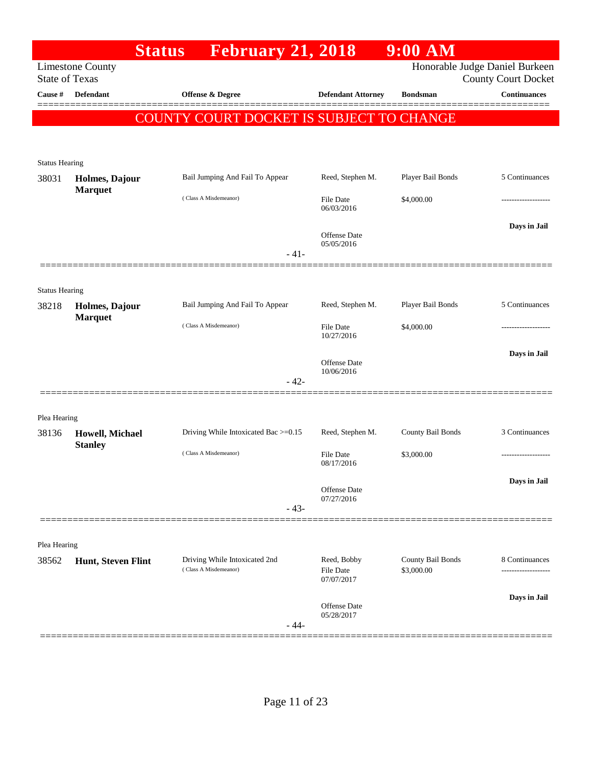| Honorable Judge Daniel Burkeen<br><b>Limestone County</b><br><b>State of Texas</b><br><b>County Court Docket</b><br><b>Continuances</b><br>Cause #<br><b>Defendant</b><br>Offense & Degree<br><b>Defendant Attorney</b><br><b>Bondsman</b><br>COUNTY COURT DOCKET IS SUBJECT TO CHANGE<br><b>Status Hearing</b><br>Player Bail Bonds<br>5 Continuances<br>Bail Jumping And Fail To Appear<br>Reed, Stephen M.<br>Holmes, Dajour<br><b>Marquet</b><br>(Class A Misdemeanor)<br><b>File Date</b><br>\$4,000.00<br>06/03/2016<br>Days in Jail<br><b>Offense</b> Date<br>05/05/2016<br>$-41-$<br><b>Status Hearing</b><br>Player Bail Bonds<br>5 Continuances<br>Bail Jumping And Fail To Appear<br>Reed, Stephen M.<br>38218<br>Holmes, Dajour<br><b>Marquet</b><br>(Class A Misdemeanor)<br><b>File Date</b><br>\$4,000.00<br>10/27/2016<br>Days in Jail<br><b>Offense</b> Date<br>10/06/2016<br>$-42-$<br>Plea Hearing<br>County Bail Bonds<br>3 Continuances<br>Driving While Intoxicated Bac >=0.15<br>Reed, Stephen M.<br>38136<br>Howell, Michael<br><b>Stanley</b><br>(Class A Misdemeanor)<br>\$3,000.00<br><b>File Date</b><br>08/17/2016<br>Days in Jail<br><b>Offense Date</b><br>07/27/2016<br>$-43-$<br>Plea Hearing<br>County Bail Bonds<br>Driving While Intoxicated 2nd<br>Reed, Bobby<br>8 Continuances<br>38562<br>Hunt, Steven Flint<br>(Class A Misdemeanor)<br>File Date<br>\$3,000.00<br>.<br>07/07/2017<br>Days in Jail<br><b>Offense</b> Date<br>05/28/2017<br>$-44-$ |       | <b>Status</b><br><b>February 21, 2018</b> | $9:00$ AM |  |
|--------------------------------------------------------------------------------------------------------------------------------------------------------------------------------------------------------------------------------------------------------------------------------------------------------------------------------------------------------------------------------------------------------------------------------------------------------------------------------------------------------------------------------------------------------------------------------------------------------------------------------------------------------------------------------------------------------------------------------------------------------------------------------------------------------------------------------------------------------------------------------------------------------------------------------------------------------------------------------------------------------------------------------------------------------------------------------------------------------------------------------------------------------------------------------------------------------------------------------------------------------------------------------------------------------------------------------------------------------------------------------------------------------------------------------------------------------------------------------------------|-------|-------------------------------------------|-----------|--|
|                                                                                                                                                                                                                                                                                                                                                                                                                                                                                                                                                                                                                                                                                                                                                                                                                                                                                                                                                                                                                                                                                                                                                                                                                                                                                                                                                                                                                                                                                            |       |                                           |           |  |
|                                                                                                                                                                                                                                                                                                                                                                                                                                                                                                                                                                                                                                                                                                                                                                                                                                                                                                                                                                                                                                                                                                                                                                                                                                                                                                                                                                                                                                                                                            |       |                                           |           |  |
|                                                                                                                                                                                                                                                                                                                                                                                                                                                                                                                                                                                                                                                                                                                                                                                                                                                                                                                                                                                                                                                                                                                                                                                                                                                                                                                                                                                                                                                                                            |       |                                           |           |  |
|                                                                                                                                                                                                                                                                                                                                                                                                                                                                                                                                                                                                                                                                                                                                                                                                                                                                                                                                                                                                                                                                                                                                                                                                                                                                                                                                                                                                                                                                                            |       |                                           |           |  |
|                                                                                                                                                                                                                                                                                                                                                                                                                                                                                                                                                                                                                                                                                                                                                                                                                                                                                                                                                                                                                                                                                                                                                                                                                                                                                                                                                                                                                                                                                            |       |                                           |           |  |
|                                                                                                                                                                                                                                                                                                                                                                                                                                                                                                                                                                                                                                                                                                                                                                                                                                                                                                                                                                                                                                                                                                                                                                                                                                                                                                                                                                                                                                                                                            |       |                                           |           |  |
|                                                                                                                                                                                                                                                                                                                                                                                                                                                                                                                                                                                                                                                                                                                                                                                                                                                                                                                                                                                                                                                                                                                                                                                                                                                                                                                                                                                                                                                                                            | 38031 |                                           |           |  |
|                                                                                                                                                                                                                                                                                                                                                                                                                                                                                                                                                                                                                                                                                                                                                                                                                                                                                                                                                                                                                                                                                                                                                                                                                                                                                                                                                                                                                                                                                            |       |                                           |           |  |
|                                                                                                                                                                                                                                                                                                                                                                                                                                                                                                                                                                                                                                                                                                                                                                                                                                                                                                                                                                                                                                                                                                                                                                                                                                                                                                                                                                                                                                                                                            |       |                                           |           |  |
|                                                                                                                                                                                                                                                                                                                                                                                                                                                                                                                                                                                                                                                                                                                                                                                                                                                                                                                                                                                                                                                                                                                                                                                                                                                                                                                                                                                                                                                                                            |       |                                           |           |  |
|                                                                                                                                                                                                                                                                                                                                                                                                                                                                                                                                                                                                                                                                                                                                                                                                                                                                                                                                                                                                                                                                                                                                                                                                                                                                                                                                                                                                                                                                                            |       |                                           |           |  |
|                                                                                                                                                                                                                                                                                                                                                                                                                                                                                                                                                                                                                                                                                                                                                                                                                                                                                                                                                                                                                                                                                                                                                                                                                                                                                                                                                                                                                                                                                            |       |                                           |           |  |
|                                                                                                                                                                                                                                                                                                                                                                                                                                                                                                                                                                                                                                                                                                                                                                                                                                                                                                                                                                                                                                                                                                                                                                                                                                                                                                                                                                                                                                                                                            |       |                                           |           |  |
|                                                                                                                                                                                                                                                                                                                                                                                                                                                                                                                                                                                                                                                                                                                                                                                                                                                                                                                                                                                                                                                                                                                                                                                                                                                                                                                                                                                                                                                                                            |       |                                           |           |  |
|                                                                                                                                                                                                                                                                                                                                                                                                                                                                                                                                                                                                                                                                                                                                                                                                                                                                                                                                                                                                                                                                                                                                                                                                                                                                                                                                                                                                                                                                                            |       |                                           |           |  |
|                                                                                                                                                                                                                                                                                                                                                                                                                                                                                                                                                                                                                                                                                                                                                                                                                                                                                                                                                                                                                                                                                                                                                                                                                                                                                                                                                                                                                                                                                            |       |                                           |           |  |
|                                                                                                                                                                                                                                                                                                                                                                                                                                                                                                                                                                                                                                                                                                                                                                                                                                                                                                                                                                                                                                                                                                                                                                                                                                                                                                                                                                                                                                                                                            |       |                                           |           |  |
|                                                                                                                                                                                                                                                                                                                                                                                                                                                                                                                                                                                                                                                                                                                                                                                                                                                                                                                                                                                                                                                                                                                                                                                                                                                                                                                                                                                                                                                                                            |       |                                           |           |  |
|                                                                                                                                                                                                                                                                                                                                                                                                                                                                                                                                                                                                                                                                                                                                                                                                                                                                                                                                                                                                                                                                                                                                                                                                                                                                                                                                                                                                                                                                                            |       |                                           |           |  |
|                                                                                                                                                                                                                                                                                                                                                                                                                                                                                                                                                                                                                                                                                                                                                                                                                                                                                                                                                                                                                                                                                                                                                                                                                                                                                                                                                                                                                                                                                            |       |                                           |           |  |
|                                                                                                                                                                                                                                                                                                                                                                                                                                                                                                                                                                                                                                                                                                                                                                                                                                                                                                                                                                                                                                                                                                                                                                                                                                                                                                                                                                                                                                                                                            |       |                                           |           |  |
|                                                                                                                                                                                                                                                                                                                                                                                                                                                                                                                                                                                                                                                                                                                                                                                                                                                                                                                                                                                                                                                                                                                                                                                                                                                                                                                                                                                                                                                                                            |       |                                           |           |  |
|                                                                                                                                                                                                                                                                                                                                                                                                                                                                                                                                                                                                                                                                                                                                                                                                                                                                                                                                                                                                                                                                                                                                                                                                                                                                                                                                                                                                                                                                                            |       |                                           |           |  |
|                                                                                                                                                                                                                                                                                                                                                                                                                                                                                                                                                                                                                                                                                                                                                                                                                                                                                                                                                                                                                                                                                                                                                                                                                                                                                                                                                                                                                                                                                            |       |                                           |           |  |
|                                                                                                                                                                                                                                                                                                                                                                                                                                                                                                                                                                                                                                                                                                                                                                                                                                                                                                                                                                                                                                                                                                                                                                                                                                                                                                                                                                                                                                                                                            |       |                                           |           |  |
|                                                                                                                                                                                                                                                                                                                                                                                                                                                                                                                                                                                                                                                                                                                                                                                                                                                                                                                                                                                                                                                                                                                                                                                                                                                                                                                                                                                                                                                                                            |       |                                           |           |  |
|                                                                                                                                                                                                                                                                                                                                                                                                                                                                                                                                                                                                                                                                                                                                                                                                                                                                                                                                                                                                                                                                                                                                                                                                                                                                                                                                                                                                                                                                                            |       |                                           |           |  |
|                                                                                                                                                                                                                                                                                                                                                                                                                                                                                                                                                                                                                                                                                                                                                                                                                                                                                                                                                                                                                                                                                                                                                                                                                                                                                                                                                                                                                                                                                            |       |                                           |           |  |
|                                                                                                                                                                                                                                                                                                                                                                                                                                                                                                                                                                                                                                                                                                                                                                                                                                                                                                                                                                                                                                                                                                                                                                                                                                                                                                                                                                                                                                                                                            |       |                                           |           |  |
|                                                                                                                                                                                                                                                                                                                                                                                                                                                                                                                                                                                                                                                                                                                                                                                                                                                                                                                                                                                                                                                                                                                                                                                                                                                                                                                                                                                                                                                                                            |       |                                           |           |  |
|                                                                                                                                                                                                                                                                                                                                                                                                                                                                                                                                                                                                                                                                                                                                                                                                                                                                                                                                                                                                                                                                                                                                                                                                                                                                                                                                                                                                                                                                                            |       |                                           |           |  |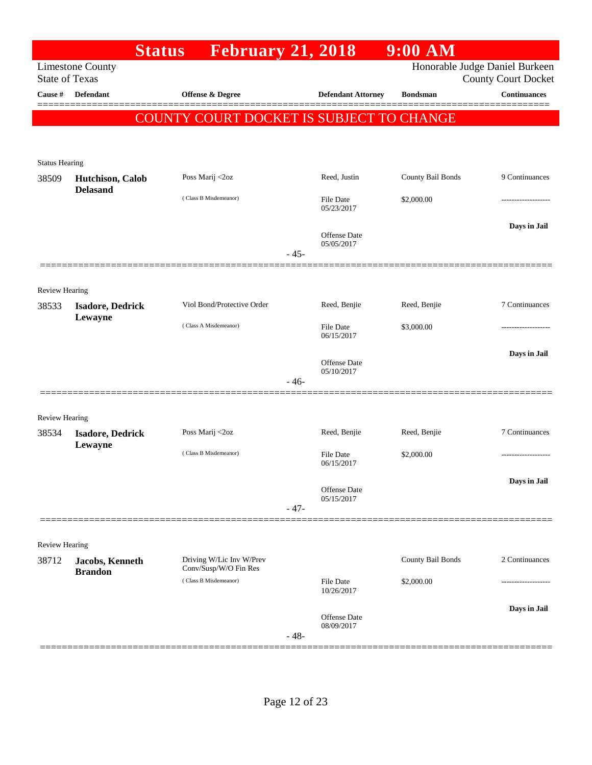|                                |                                                  | <b>Status</b> | <b>February 21, 2018</b>                       |                                   | $9:00$ AM                                    |                                                              |
|--------------------------------|--------------------------------------------------|---------------|------------------------------------------------|-----------------------------------|----------------------------------------------|--------------------------------------------------------------|
|                                | <b>Limestone County</b><br><b>State of Texas</b> |               |                                                |                                   |                                              | Honorable Judge Daniel Burkeen<br><b>County Court Docket</b> |
| Cause #                        | <b>Defendant</b>                                 |               | <b>Offense &amp; Degree</b>                    |                                   | <b>Defendant Attorney</b><br><b>Bondsman</b> | <b>Continuances</b>                                          |
|                                |                                                  |               |                                                |                                   | COUNTY COURT DOCKET IS SUBJECT TO CHANGE     |                                                              |
|                                |                                                  |               |                                                |                                   |                                              |                                                              |
|                                |                                                  |               |                                                |                                   |                                              |                                                              |
| <b>Status Hearing</b>          |                                                  |               | Poss Marij <2oz                                | Reed, Justin                      | County Bail Bonds                            | 9 Continuances                                               |
| 38509                          | Hutchison, Calob<br><b>Delasand</b>              |               |                                                |                                   |                                              |                                                              |
|                                |                                                  |               | (Class B Misdemeanor)                          | File Date<br>05/23/2017           | \$2,000.00                                   | .                                                            |
|                                |                                                  |               |                                                |                                   |                                              | Days in Jail                                                 |
|                                |                                                  |               |                                                | <b>Offense Date</b><br>05/05/2017 |                                              |                                                              |
|                                |                                                  |               |                                                | $-45-$                            |                                              |                                                              |
|                                |                                                  |               |                                                |                                   |                                              |                                                              |
| <b>Review Hearing</b><br>38533 | <b>Isadore, Dedrick</b>                          |               | Viol Bond/Protective Order                     | Reed, Benjie                      | Reed, Benjie                                 | 7 Continuances                                               |
|                                | Lewayne                                          |               |                                                |                                   |                                              |                                                              |
|                                |                                                  |               | (Class A Misdemeanor)                          | File Date<br>06/15/2017           | \$3,000.00                                   | .                                                            |
|                                |                                                  |               |                                                |                                   |                                              | Days in Jail                                                 |
|                                |                                                  |               |                                                | <b>Offense Date</b><br>05/10/2017 |                                              |                                                              |
|                                |                                                  |               |                                                | $-46-$                            |                                              |                                                              |
|                                |                                                  |               |                                                |                                   |                                              |                                                              |
| <b>Review Hearing</b><br>38534 | <b>Isadore, Dedrick</b>                          |               | Poss Marij <2oz                                | Reed, Benjie                      | Reed, Benjie                                 | 7 Continuances                                               |
|                                | Lewayne                                          |               |                                                |                                   |                                              |                                                              |
|                                |                                                  |               | (Class B Misdemeanor)                          | <b>File Date</b><br>06/15/2017    | \$2,000.00                                   | -------------------                                          |
|                                |                                                  |               |                                                |                                   |                                              | Days in Jail                                                 |
|                                |                                                  |               |                                                | <b>Offense Date</b><br>05/15/2017 |                                              |                                                              |
|                                |                                                  |               |                                                | $-47-$                            |                                              |                                                              |
| <b>Review Hearing</b>          |                                                  |               |                                                |                                   |                                              |                                                              |
| 38712                          | Jacobs, Kenneth                                  |               | Driving W/Lic Inv W/Prev                       |                                   | County Bail Bonds                            | 2 Continuances                                               |
|                                | <b>Brandon</b>                                   |               | Conv/Susp/W/O Fin Res<br>(Class B Misdemeanor) | <b>File Date</b>                  | \$2,000.00                                   |                                                              |
|                                |                                                  |               |                                                | 10/26/2017                        |                                              |                                                              |
|                                |                                                  |               |                                                | <b>Offense Date</b>               |                                              | Days in Jail                                                 |
|                                |                                                  |               |                                                | 08/09/2017<br>$-48-$              |                                              |                                                              |
|                                |                                                  |               |                                                |                                   |                                              |                                                              |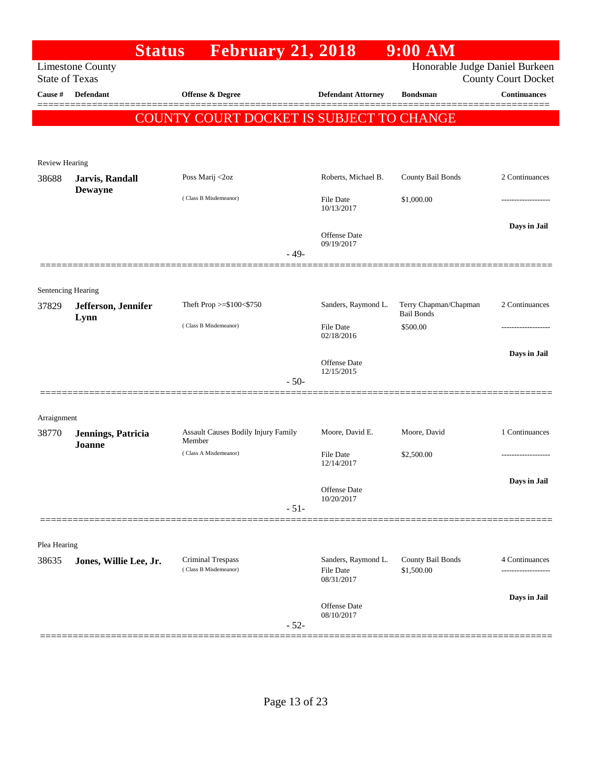|                             |                                                                                                                  | <b>February 21, 2018</b><br><b>Status</b>         |                                                       | $9:00$ AM                                  |                     |  |  |  |
|-----------------------------|------------------------------------------------------------------------------------------------------------------|---------------------------------------------------|-------------------------------------------------------|--------------------------------------------|---------------------|--|--|--|
|                             | Honorable Judge Daniel Burkeen<br><b>Limestone County</b><br><b>State of Texas</b><br><b>County Court Docket</b> |                                                   |                                                       |                                            |                     |  |  |  |
| Cause #                     | <b>Defendant</b>                                                                                                 | Offense & Degree                                  | <b>Defendant Attorney</b>                             | <b>Bondsman</b>                            | <b>Continuances</b> |  |  |  |
|                             |                                                                                                                  | COUNTY COURT DOCKET IS SUBJECT TO CHANGE          |                                                       |                                            |                     |  |  |  |
|                             |                                                                                                                  |                                                   |                                                       |                                            |                     |  |  |  |
| <b>Review Hearing</b>       |                                                                                                                  |                                                   |                                                       |                                            |                     |  |  |  |
| 38688                       | <b>Jarvis</b> , Randall                                                                                          | Poss Marij <2oz                                   | Roberts, Michael B.                                   | County Bail Bonds                          | 2 Continuances      |  |  |  |
|                             | <b>Dewayne</b>                                                                                                   | (Class B Misdemeanor)                             | <b>File Date</b><br>10/13/2017                        | \$1,000.00                                 |                     |  |  |  |
|                             |                                                                                                                  |                                                   | <b>Offense Date</b><br>09/19/2017                     |                                            | Days in Jail        |  |  |  |
|                             |                                                                                                                  | $-49-$                                            |                                                       |                                            |                     |  |  |  |
|                             |                                                                                                                  |                                                   |                                                       |                                            |                     |  |  |  |
| Sentencing Hearing<br>37829 | Jefferson, Jennifer<br>Lynn                                                                                      | Theft Prop >=\$100<\$750                          | Sanders, Raymond L.                                   | Terry Chapman/Chapman<br><b>Bail Bonds</b> | 2 Continuances      |  |  |  |
|                             |                                                                                                                  | (Class B Misdemeanor)                             | <b>File Date</b><br>02/18/2016                        | \$500.00                                   |                     |  |  |  |
|                             |                                                                                                                  |                                                   |                                                       |                                            | Days in Jail        |  |  |  |
|                             |                                                                                                                  |                                                   | <b>Offense Date</b><br>12/15/2015                     |                                            |                     |  |  |  |
|                             |                                                                                                                  | $-50-$                                            |                                                       |                                            |                     |  |  |  |
| Arraignment                 |                                                                                                                  |                                                   |                                                       |                                            |                     |  |  |  |
| 38770                       | Jennings, Patricia                                                                                               | Assault Causes Bodily Injury Family<br>Member     | Moore, David E.                                       | Moore, David                               | 1 Continuances      |  |  |  |
|                             | Joanne                                                                                                           | (Class A Misdemeanor)                             | <b>File Date</b><br>12/14/2017                        | \$2,500.00                                 |                     |  |  |  |
|                             |                                                                                                                  |                                                   | <b>Offense Date</b>                                   |                                            | Days in Jail        |  |  |  |
|                             |                                                                                                                  | $-51-$                                            | 10/20/2017                                            |                                            |                     |  |  |  |
|                             |                                                                                                                  |                                                   |                                                       |                                            |                     |  |  |  |
| Plea Hearing                |                                                                                                                  |                                                   |                                                       |                                            |                     |  |  |  |
| 38635                       | Jones, Willie Lee, Jr.                                                                                           | <b>Criminal Trespass</b><br>(Class B Misdemeanor) | Sanders, Raymond L.<br><b>File Date</b><br>08/31/2017 | County Bail Bonds<br>\$1,500.00            | 4 Continuances<br>  |  |  |  |
|                             |                                                                                                                  |                                                   | Offense Date<br>08/10/2017                            |                                            | Days in Jail        |  |  |  |
|                             |                                                                                                                  | $-52-$                                            |                                                       |                                            |                     |  |  |  |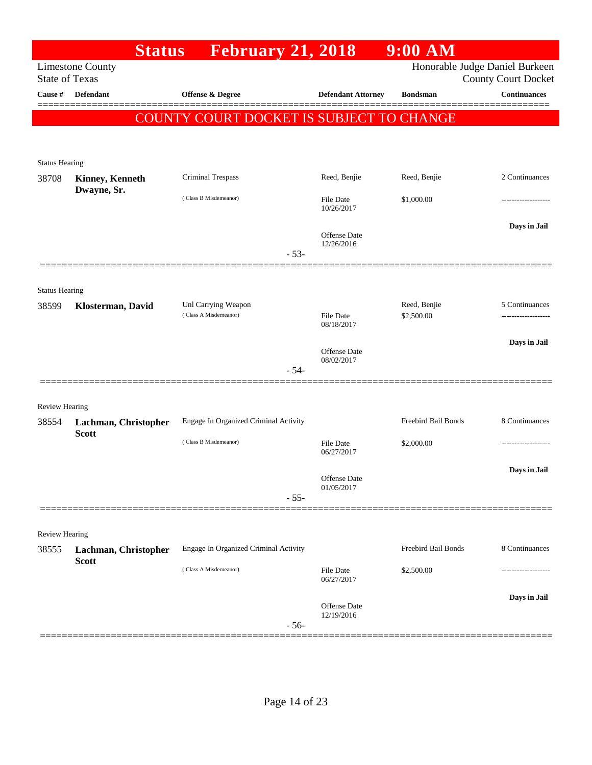|                       | <b>Status</b>                        | <b>February 21, 2018</b>                 |                                   | $9:00$ AM           |                                                              |
|-----------------------|--------------------------------------|------------------------------------------|-----------------------------------|---------------------|--------------------------------------------------------------|
| <b>State of Texas</b> | <b>Limestone County</b>              |                                          |                                   |                     | Honorable Judge Daniel Burkeen<br><b>County Court Docket</b> |
| Cause #               | <b>Defendant</b>                     | <b>Offense &amp; Degree</b>              | <b>Defendant Attorney</b>         | <b>Bondsman</b>     | <b>Continuances</b>                                          |
|                       |                                      | COUNTY COURT DOCKET IS SUBJECT TO CHANGE |                                   |                     |                                                              |
|                       |                                      |                                          |                                   |                     |                                                              |
|                       |                                      |                                          |                                   |                     |                                                              |
| <b>Status Hearing</b> |                                      | Criminal Trespass                        | Reed, Benjie                      | Reed, Benjie        | 2 Continuances                                               |
| 38708                 | Kinney, Kenneth<br>Dwayne, Sr.       |                                          |                                   |                     |                                                              |
|                       |                                      | (Class B Misdemeanor)                    | <b>File Date</b><br>10/26/2017    | \$1,000.00          | ----------------                                             |
|                       |                                      |                                          |                                   |                     | Days in Jail                                                 |
|                       |                                      |                                          | <b>Offense</b> Date<br>12/26/2016 |                     |                                                              |
|                       |                                      | $-53-$                                   |                                   |                     |                                                              |
|                       |                                      |                                          |                                   |                     |                                                              |
| <b>Status Hearing</b> |                                      | Unl Carrying Weapon                      |                                   | Reed, Benjie        | 5 Continuances                                               |
| 38599                 | Klosterman, David                    | (Class A Misdemeanor)                    | <b>File Date</b>                  | \$2,500.00          |                                                              |
|                       |                                      |                                          | 08/18/2017                        |                     |                                                              |
|                       |                                      |                                          | <b>Offense</b> Date               |                     | Days in Jail                                                 |
|                       |                                      | $-54-$                                   | 08/02/2017                        |                     |                                                              |
|                       |                                      |                                          |                                   |                     |                                                              |
| <b>Review Hearing</b> |                                      |                                          |                                   |                     |                                                              |
| 38554                 | Lachman, Christopher                 | Engage In Organized Criminal Activity    |                                   | Freebird Bail Bonds | 8 Continuances                                               |
|                       | <b>Scott</b>                         | (Class B Misdemeanor)                    | File Date                         | \$2,000.00          |                                                              |
|                       |                                      |                                          | 06/27/2017                        |                     | Days in Jail                                                 |
|                       |                                      |                                          | Offense Date<br>01/05/2017        |                     |                                                              |
|                       |                                      | $-55-$                                   |                                   |                     |                                                              |
|                       |                                      |                                          |                                   |                     |                                                              |
| Review Hearing        |                                      |                                          |                                   |                     |                                                              |
| 38555                 | Lachman, Christopher<br><b>Scott</b> | Engage In Organized Criminal Activity    |                                   | Freebird Bail Bonds | 8 Continuances                                               |
|                       |                                      | (Class A Misdemeanor)                    | <b>File Date</b><br>06/27/2017    | \$2,500.00          |                                                              |
|                       |                                      |                                          |                                   |                     | Days in Jail                                                 |
|                       |                                      |                                          | <b>Offense</b> Date<br>12/19/2016 |                     |                                                              |
|                       |                                      | $-56-$                                   |                                   |                     |                                                              |
|                       |                                      |                                          |                                   |                     |                                                              |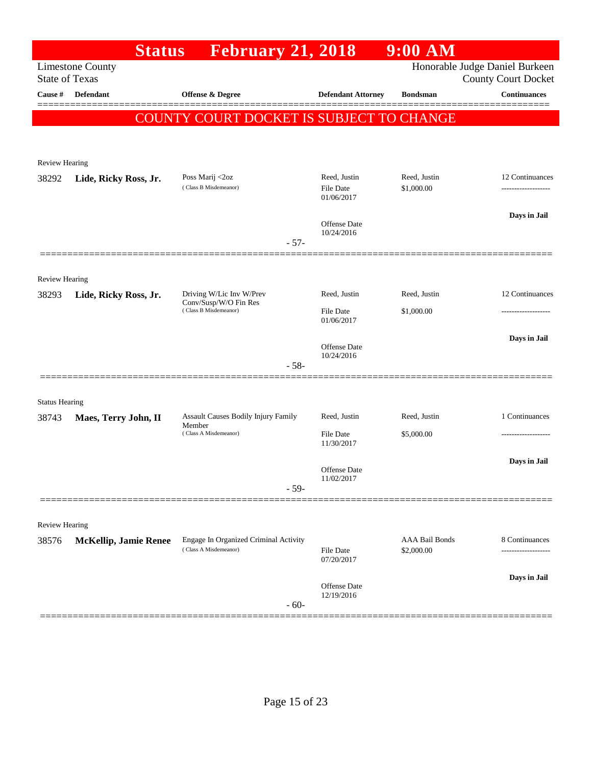|                       | <b>Status</b>                | <b>February 21, 2018</b>                                       |        |                                | $9:00$ AM                           |                                                              |
|-----------------------|------------------------------|----------------------------------------------------------------|--------|--------------------------------|-------------------------------------|--------------------------------------------------------------|
| <b>State of Texas</b> | <b>Limestone County</b>      |                                                                |        |                                |                                     | Honorable Judge Daniel Burkeen<br><b>County Court Docket</b> |
| Cause #               | <b>Defendant</b>             | <b>Offense &amp; Degree</b>                                    |        | <b>Defendant Attorney</b>      | <b>Bondsman</b>                     | <b>Continuances</b>                                          |
|                       |                              | COUNTY COURT DOCKET IS SUBJECT TO CHANGE                       |        |                                |                                     |                                                              |
|                       |                              |                                                                |        |                                |                                     |                                                              |
| <b>Review Hearing</b> |                              |                                                                |        |                                |                                     |                                                              |
| 38292                 | Lide, Ricky Ross, Jr.        | Poss Marij <2oz<br>(Class B Misdemeanor)                       |        | Reed, Justin                   | Reed, Justin                        | 12 Continuances                                              |
|                       |                              |                                                                |        | <b>File Date</b><br>01/06/2017 | \$1,000.00                          | -------------------                                          |
|                       |                              |                                                                |        | Offense Date                   |                                     | Days in Jail                                                 |
|                       |                              |                                                                | $-57-$ | 10/24/2016                     |                                     |                                                              |
|                       |                              |                                                                |        |                                |                                     |                                                              |
| <b>Review Hearing</b> |                              |                                                                |        |                                |                                     |                                                              |
| 38293                 | Lide, Ricky Ross, Jr.        | Driving W/Lic Inv W/Prev<br>Conv/Susp/W/O Fin Res              |        | Reed, Justin                   | Reed, Justin                        | 12 Continuances                                              |
|                       |                              | (Class B Misdemeanor)                                          |        | <b>File Date</b><br>01/06/2017 | \$1,000.00                          |                                                              |
|                       |                              |                                                                |        | Offense Date                   |                                     | Days in Jail                                                 |
|                       |                              |                                                                | $-58-$ | 10/24/2016                     |                                     |                                                              |
|                       |                              |                                                                |        |                                |                                     |                                                              |
| <b>Status Hearing</b> |                              |                                                                |        |                                |                                     |                                                              |
| 38743                 | Maes, Terry John, II         | Assault Causes Bodily Injury Family<br>Member                  |        | Reed, Justin                   | Reed, Justin                        | 1 Continuances                                               |
|                       |                              | (Class A Misdemeanor)                                          |        | <b>File Date</b><br>11/30/2017 | \$5,000.00                          | ------------------                                           |
|                       |                              |                                                                |        | Offense Date                   |                                     | Days in Jail                                                 |
|                       |                              |                                                                | $-59-$ | 11/02/2017                     |                                     |                                                              |
|                       |                              |                                                                |        |                                |                                     |                                                              |
| <b>Review Hearing</b> |                              |                                                                |        |                                |                                     |                                                              |
| 38576                 | <b>McKellip, Jamie Renee</b> | Engage In Organized Criminal Activity<br>(Class A Misdemeanor) |        | <b>File Date</b>               | <b>AAA Bail Bonds</b><br>\$2,000.00 | 8 Continuances                                               |
|                       |                              |                                                                |        | 07/20/2017                     |                                     |                                                              |
|                       |                              |                                                                |        | Offense Date                   |                                     | Days in Jail                                                 |
|                       |                              |                                                                | $-60-$ | 12/19/2016                     |                                     |                                                              |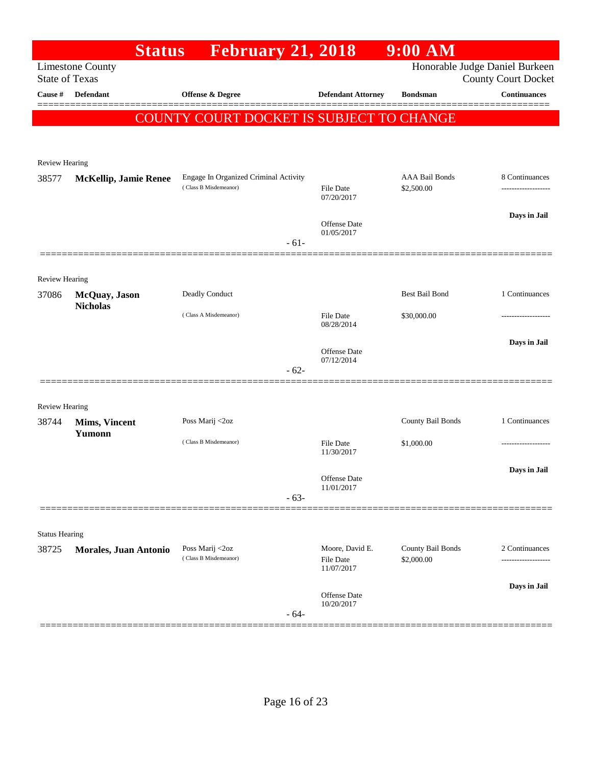| <b>February 21, 2018</b><br><b>Limestone County</b><br><b>State of Texas</b><br><b>Defendant</b><br>Offense & Degree<br>Cause #<br><b>Defendant Attorney</b><br>COUNTY COURT DOCKET IS SUBJECT TO CHANGE | <b>Bondsman</b>                     | Honorable Judge Daniel Burkeen<br><b>County Court Docket</b><br><b>Continuances</b><br>======= |
|----------------------------------------------------------------------------------------------------------------------------------------------------------------------------------------------------------|-------------------------------------|------------------------------------------------------------------------------------------------|
|                                                                                                                                                                                                          |                                     |                                                                                                |
|                                                                                                                                                                                                          |                                     |                                                                                                |
|                                                                                                                                                                                                          |                                     |                                                                                                |
|                                                                                                                                                                                                          |                                     |                                                                                                |
| <b>Review Hearing</b>                                                                                                                                                                                    |                                     |                                                                                                |
| Engage In Organized Criminal Activity<br>38577<br><b>McKellip, Jamie Renee</b><br>(Class B Misdemeanor)<br>File Date                                                                                     | <b>AAA Bail Bonds</b><br>\$2,500.00 | 8 Continuances                                                                                 |
| 07/20/2017                                                                                                                                                                                               |                                     |                                                                                                |
| <b>Offense</b> Date                                                                                                                                                                                      |                                     | Days in Jail                                                                                   |
| 01/05/2017<br>$-61-$                                                                                                                                                                                     |                                     |                                                                                                |
|                                                                                                                                                                                                          |                                     |                                                                                                |
| <b>Review Hearing</b><br>Deadly Conduct<br>McQuay, Jason<br>37086                                                                                                                                        | <b>Best Bail Bond</b>               | 1 Continuances                                                                                 |
| <b>Nicholas</b><br>(Class A Misdemeanor)<br><b>File Date</b>                                                                                                                                             | \$30,000.00                         | ----------------                                                                               |
| 08/28/2014                                                                                                                                                                                               |                                     |                                                                                                |
| <b>Offense Date</b>                                                                                                                                                                                      |                                     | Days in Jail                                                                                   |
| 07/12/2014<br>$-62-$                                                                                                                                                                                     |                                     |                                                                                                |
|                                                                                                                                                                                                          |                                     |                                                                                                |
| <b>Review Hearing</b><br>Poss Marij <2oz<br>38744<br><b>Mims, Vincent</b>                                                                                                                                | County Bail Bonds                   | 1 Continuances                                                                                 |
| Yumonn<br>(Class B Misdemeanor)<br><b>File Date</b>                                                                                                                                                      | \$1,000.00                          | ----------------                                                                               |
| 11/30/2017                                                                                                                                                                                               |                                     |                                                                                                |
| Offense Date                                                                                                                                                                                             |                                     | Days in Jail                                                                                   |
| 11/01/2017<br>$-63-$                                                                                                                                                                                     |                                     |                                                                                                |
|                                                                                                                                                                                                          |                                     |                                                                                                |
| <b>Status Hearing</b>                                                                                                                                                                                    |                                     |                                                                                                |
| Moore, David E.<br>Poss Marij <2oz<br>38725<br>Morales, Juan Antonio<br>(Class B Misdemeanor)<br>File Date<br>11/07/2017                                                                                 | County Bail Bonds<br>\$2,000.00     | 2 Continuances                                                                                 |
| Offense Date                                                                                                                                                                                             |                                     | Days in Jail                                                                                   |
| 10/20/2017<br>$-64-$                                                                                                                                                                                     |                                     |                                                                                                |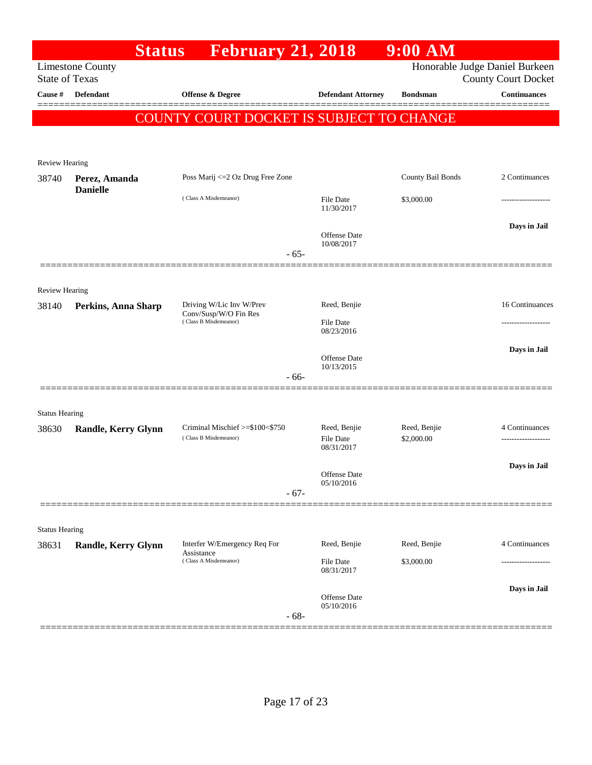|                                |                                  | <b>February 21, 2018</b><br><b>Status</b>                           |        |                                | $9:00$ AM                  |                                                              |
|--------------------------------|----------------------------------|---------------------------------------------------------------------|--------|--------------------------------|----------------------------|--------------------------------------------------------------|
| <b>State of Texas</b>          | <b>Limestone County</b>          |                                                                     |        |                                |                            | Honorable Judge Daniel Burkeen<br><b>County Court Docket</b> |
| Cause #                        | <b>Defendant</b>                 | <b>Offense &amp; Degree</b>                                         |        | <b>Defendant Attorney</b>      | <b>Bondsman</b>            | <b>Continuances</b>                                          |
|                                |                                  | COUNTY COURT DOCKET IS SUBJECT TO CHANGE                            |        |                                |                            | ======                                                       |
|                                |                                  |                                                                     |        |                                |                            |                                                              |
|                                |                                  |                                                                     |        |                                |                            |                                                              |
| Review Hearing                 |                                  |                                                                     |        |                                |                            |                                                              |
| 38740                          | Perez, Amanda<br><b>Danielle</b> | Poss Marij <= 2 Oz Drug Free Zone                                   |        |                                | County Bail Bonds          | 2 Continuances                                               |
|                                |                                  | (Class A Misdemeanor)                                               |        | <b>File Date</b><br>11/30/2017 | \$3,000.00                 |                                                              |
|                                |                                  |                                                                     |        | <b>Offense Date</b>            |                            | Days in Jail                                                 |
|                                |                                  |                                                                     | $-65-$ | 10/08/2017                     |                            |                                                              |
|                                |                                  |                                                                     |        |                                |                            |                                                              |
| <b>Review Hearing</b>          |                                  |                                                                     |        |                                |                            |                                                              |
| 38140                          | Perkins, Anna Sharp              | Driving W/Lic Inv W/Prev<br>Conv/Susp/W/O Fin Res                   |        | Reed, Benjie                   |                            | 16 Continuances                                              |
|                                |                                  | (Class B Misdemeanor)                                               |        | <b>File Date</b><br>08/23/2016 |                            |                                                              |
|                                |                                  |                                                                     |        |                                |                            | Days in Jail                                                 |
|                                |                                  |                                                                     |        | Offense Date<br>10/13/2015     |                            |                                                              |
|                                |                                  |                                                                     | $-66-$ |                                |                            |                                                              |
|                                |                                  |                                                                     |        |                                |                            |                                                              |
| <b>Status Hearing</b><br>38630 | <b>Randle, Kerry Glynn</b>       | Criminal Mischief >=\$100<\$750                                     |        | Reed, Benjie                   | Reed, Benjie               | 4 Continuances                                               |
|                                |                                  | (Class B Misdemeanor)                                               |        | File Date<br>08/31/2017        | \$2,000.00                 | ------------------                                           |
|                                |                                  |                                                                     |        |                                |                            | Days in Jail                                                 |
|                                |                                  |                                                                     |        | Offense Date<br>05/10/2016     |                            |                                                              |
|                                |                                  |                                                                     | $-67-$ |                                |                            |                                                              |
|                                |                                  |                                                                     |        |                                |                            |                                                              |
| <b>Status Hearing</b>          |                                  |                                                                     |        |                                |                            |                                                              |
| 38631                          | <b>Randle, Kerry Glynn</b>       | Interfer W/Emergency Req For<br>Assistance<br>(Class A Misdemeanor) |        | Reed, Benjie                   | Reed, Benjie<br>\$3,000.00 | 4 Continuances                                               |
|                                |                                  |                                                                     |        | File Date<br>08/31/2017        |                            |                                                              |
|                                |                                  |                                                                     |        | Offense Date                   |                            | Days in Jail                                                 |
|                                |                                  |                                                                     | $-68-$ | 05/10/2016                     |                            |                                                              |
|                                |                                  |                                                                     |        |                                |                            |                                                              |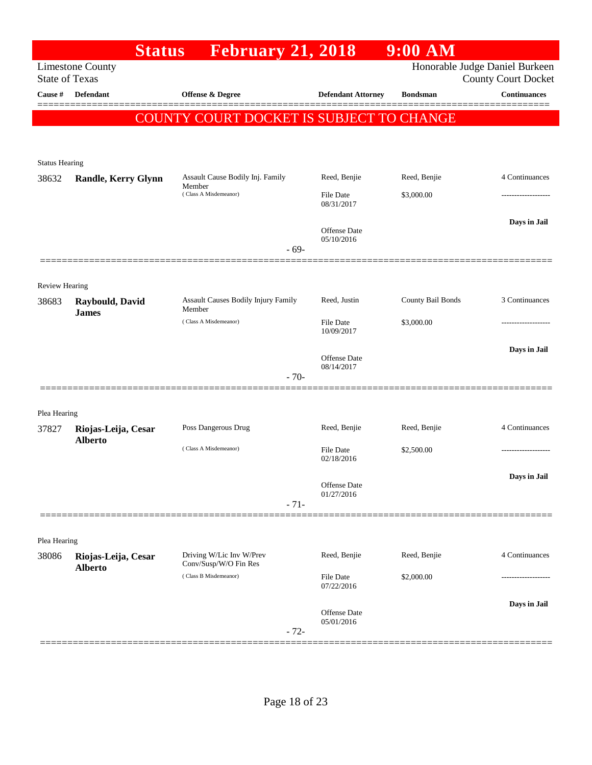|                         | <b>Status</b>              | <b>February 21, 2018</b>                       |                                | $9:00$ AM         |                                                              |
|-------------------------|----------------------------|------------------------------------------------|--------------------------------|-------------------|--------------------------------------------------------------|
| <b>State of Texas</b>   | <b>Limestone County</b>    |                                                |                                |                   | Honorable Judge Daniel Burkeen<br><b>County Court Docket</b> |
| Cause #                 | <b>Defendant</b>           | Offense & Degree                               | <b>Defendant Attorney</b>      | <b>Bondsman</b>   | <b>Continuances</b>                                          |
|                         |                            | COUNTY COURT DOCKET IS SUBJECT TO CHANGE       |                                |                   |                                                              |
|                         |                            |                                                |                                |                   |                                                              |
|                         |                            |                                                |                                |                   |                                                              |
| <b>Status Hearing</b>   |                            |                                                |                                |                   |                                                              |
| 38632                   | <b>Randle, Kerry Glynn</b> | Assault Cause Bodily Inj. Family<br>Member     | Reed, Benjie                   | Reed, Benjie      | 4 Continuances                                               |
|                         |                            | (Class A Misdemeanor)                          | <b>File Date</b><br>08/31/2017 | \$3,000.00        |                                                              |
|                         |                            |                                                |                                |                   | Days in Jail                                                 |
|                         |                            |                                                | Offense Date<br>05/10/2016     |                   |                                                              |
|                         |                            | $-69-$                                         |                                |                   |                                                              |
|                         |                            |                                                |                                |                   |                                                              |
| Review Hearing<br>38683 | Raybould, David            | <b>Assault Causes Bodily Injury Family</b>     | Reed, Justin                   | County Bail Bonds | 3 Continuances                                               |
|                         | <b>James</b>               | Member<br>(Class A Misdemeanor)                |                                |                   |                                                              |
|                         |                            |                                                | <b>File Date</b><br>10/09/2017 | \$3,000.00        |                                                              |
|                         |                            |                                                | Offense Date                   |                   | Days in Jail                                                 |
|                         |                            | $-70-$                                         | 08/14/2017                     |                   |                                                              |
|                         |                            |                                                |                                |                   |                                                              |
| Plea Hearing            |                            |                                                |                                |                   |                                                              |
| 37827                   | Riojas-Leija, Cesar        | Poss Dangerous Drug                            | Reed, Benjie                   | Reed, Benjie      | 4 Continuances                                               |
|                         | <b>Alberto</b>             | (Class A Misdemeanor)                          | <b>File Date</b>               | \$2,500.00        |                                                              |
|                         |                            |                                                | 02/18/2016                     |                   |                                                              |
|                         |                            |                                                | Offense Date                   |                   | Days in Jail                                                 |
|                         |                            | $-71-$                                         | 01/27/2016                     |                   |                                                              |
|                         |                            |                                                |                                |                   |                                                              |
| Plea Hearing            |                            |                                                |                                |                   |                                                              |
| 38086                   | Riojas-Leija, Cesar        | Driving W/Lic Inv W/Prev                       | Reed, Benjie                   | Reed, Benjie      | 4 Continuances                                               |
|                         | <b>Alberto</b>             | Conv/Susp/W/O Fin Res<br>(Class B Misdemeanor) | File Date                      | \$2,000.00        |                                                              |
|                         |                            |                                                | 07/22/2016                     |                   |                                                              |
|                         |                            |                                                | Offense Date                   |                   | Days in Jail                                                 |
|                         |                            | $-72-$                                         | 05/01/2016                     |                   |                                                              |
|                         |                            |                                                |                                |                   |                                                              |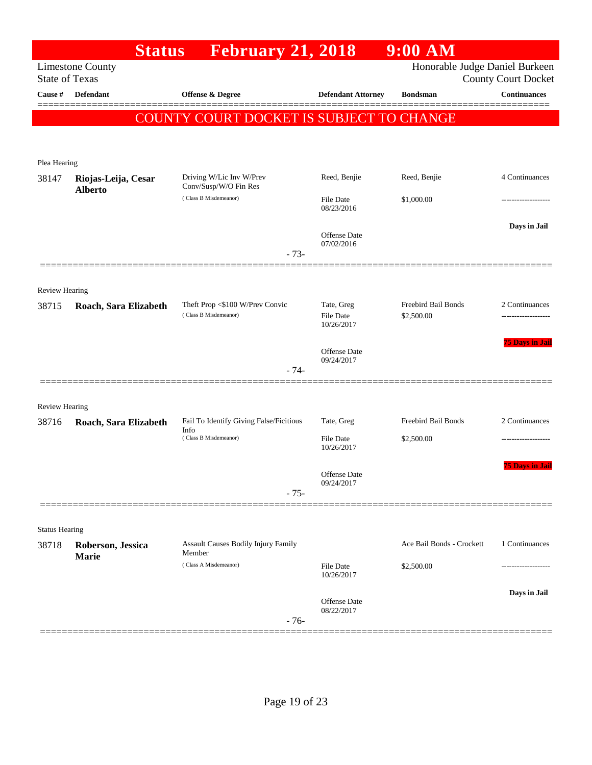|                       | <b>Status</b>                         | <b>February 21, 2018</b>                                 |                                              | $9:00$ AM                         |                            |
|-----------------------|---------------------------------------|----------------------------------------------------------|----------------------------------------------|-----------------------------------|----------------------------|
| <b>State of Texas</b> | <b>Limestone County</b>               |                                                          |                                              | Honorable Judge Daniel Burkeen    | <b>County Court Docket</b> |
| Cause #               | <b>Defendant</b>                      | <b>Offense &amp; Degree</b>                              | <b>Defendant Attorney</b>                    | <b>Bondsman</b>                   | <b>Continuances</b>        |
|                       |                                       | COUNTY COURT DOCKET IS SUBJECT TO CHANGE                 |                                              |                                   |                            |
|                       |                                       |                                                          |                                              |                                   |                            |
| Plea Hearing          |                                       |                                                          |                                              |                                   |                            |
| 38147                 | Riojas-Leija, Cesar<br><b>Alberto</b> | Driving W/Lic Inv W/Prev<br>Conv/Susp/W/O Fin Res        | Reed, Benjie                                 | Reed, Benjie                      | 4 Continuances             |
|                       |                                       | (Class B Misdemeanor)                                    | <b>File Date</b><br>08/23/2016               | \$1,000.00                        | -----------------          |
|                       |                                       | $-73-$                                                   | <b>Offense</b> Date<br>07/02/2016            |                                   | Days in Jail               |
|                       |                                       |                                                          |                                              |                                   |                            |
| <b>Review Hearing</b> |                                       |                                                          |                                              |                                   |                            |
| 38715                 | Roach, Sara Elizabeth                 | Theft Prop <\$100 W/Prev Convic<br>(Class B Misdemeanor) | Tate, Greg<br><b>File Date</b><br>10/26/2017 | Freebird Bail Bonds<br>\$2,500.00 | 2 Continuances             |
|                       |                                       | $-74-$                                                   | <b>Offense</b> Date<br>09/24/2017            |                                   | <b>75 Days in Jail</b>     |
| <b>Review Hearing</b> |                                       |                                                          |                                              |                                   |                            |
| 38716                 | Roach, Sara Elizabeth                 | Fail To Identify Giving False/Ficitious                  | Tate, Greg                                   | Freebird Bail Bonds               | 2 Continuances             |
|                       |                                       | Info<br>(Class B Misdemeanor)                            | <b>File Date</b><br>10/26/2017               | \$2,500.00                        |                            |
|                       |                                       | $-75-$                                                   | Offense Date<br>09/24/2017                   |                                   | <b>75 Days in Jail</b>     |
|                       |                                       |                                                          |                                              |                                   |                            |
| <b>Status Hearing</b> |                                       |                                                          |                                              |                                   |                            |
| 38718                 | Roberson, Jessica                     | <b>Assault Causes Bodily Injury Family</b><br>Member     |                                              | Ace Bail Bonds - Crockett         | 1 Continuances             |
|                       | Marie                                 | (Class A Misdemeanor)                                    | <b>File Date</b><br>10/26/2017               | \$2,500.00                        |                            |
|                       |                                       | $-76-$                                                   | <b>Offense</b> Date<br>08/22/2017            |                                   | Days in Jail               |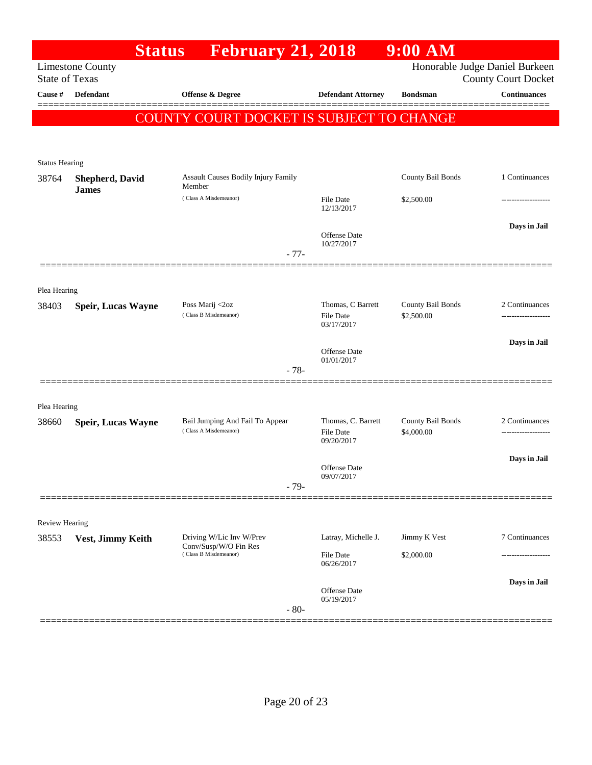| Honorable Judge Daniel Burkeen<br><b>Limestone County</b><br><b>State of Texas</b><br><b>County Court Docket</b><br><b>Defendant</b><br>Cause #<br><b>Offense &amp; Degree</b><br><b>Defendant Attorney</b><br><b>Bondsman</b><br>COUNTY COURT DOCKET IS SUBJECT TO CHANGE<br><b>Status Hearing</b><br>County Bail Bonds<br><b>Assault Causes Bodily Injury Family</b><br>38764<br><b>Shepherd, David</b><br>Member<br><b>James</b><br>(Class A Misdemeanor)<br>\$2,500.00<br>File Date<br>12/13/2017<br><b>Offense</b> Date<br>10/27/2017<br>$-77-$<br>Plea Hearing<br>Thomas, C Barrett<br>County Bail Bonds<br>Poss Marij <2oz<br>38403<br><b>Speir, Lucas Wayne</b><br>(Class B Misdemeanor)<br>\$2,500.00<br><b>File Date</b><br>03/17/2017<br><b>Offense</b> Date<br>01/01/2017<br>$-78-$<br>Plea Hearing<br>Thomas, C. Barrett<br>Bail Jumping And Fail To Appear<br>County Bail Bonds<br>38660<br><b>Speir, Lucas Wayne</b><br>(Class A Misdemeanor)<br>\$4,000.00<br><b>File Date</b><br>09/20/2017<br><b>Offense</b> Date<br>09/07/2017<br>$-79-$<br><b>Review Hearing</b> |                     | $9:00$ AM | <b>February 21, 2018</b> | <b>Status</b> |  |
|--------------------------------------------------------------------------------------------------------------------------------------------------------------------------------------------------------------------------------------------------------------------------------------------------------------------------------------------------------------------------------------------------------------------------------------------------------------------------------------------------------------------------------------------------------------------------------------------------------------------------------------------------------------------------------------------------------------------------------------------------------------------------------------------------------------------------------------------------------------------------------------------------------------------------------------------------------------------------------------------------------------------------------------------------------------------------------------|---------------------|-----------|--------------------------|---------------|--|
|                                                                                                                                                                                                                                                                                                                                                                                                                                                                                                                                                                                                                                                                                                                                                                                                                                                                                                                                                                                                                                                                                      |                     |           |                          |               |  |
|                                                                                                                                                                                                                                                                                                                                                                                                                                                                                                                                                                                                                                                                                                                                                                                                                                                                                                                                                                                                                                                                                      | <b>Continuances</b> |           |                          |               |  |
|                                                                                                                                                                                                                                                                                                                                                                                                                                                                                                                                                                                                                                                                                                                                                                                                                                                                                                                                                                                                                                                                                      |                     |           |                          |               |  |
|                                                                                                                                                                                                                                                                                                                                                                                                                                                                                                                                                                                                                                                                                                                                                                                                                                                                                                                                                                                                                                                                                      |                     |           |                          |               |  |
|                                                                                                                                                                                                                                                                                                                                                                                                                                                                                                                                                                                                                                                                                                                                                                                                                                                                                                                                                                                                                                                                                      |                     |           |                          |               |  |
|                                                                                                                                                                                                                                                                                                                                                                                                                                                                                                                                                                                                                                                                                                                                                                                                                                                                                                                                                                                                                                                                                      | 1 Continuances      |           |                          |               |  |
|                                                                                                                                                                                                                                                                                                                                                                                                                                                                                                                                                                                                                                                                                                                                                                                                                                                                                                                                                                                                                                                                                      |                     |           |                          |               |  |
|                                                                                                                                                                                                                                                                                                                                                                                                                                                                                                                                                                                                                                                                                                                                                                                                                                                                                                                                                                                                                                                                                      | Days in Jail        |           |                          |               |  |
|                                                                                                                                                                                                                                                                                                                                                                                                                                                                                                                                                                                                                                                                                                                                                                                                                                                                                                                                                                                                                                                                                      |                     |           |                          |               |  |
|                                                                                                                                                                                                                                                                                                                                                                                                                                                                                                                                                                                                                                                                                                                                                                                                                                                                                                                                                                                                                                                                                      |                     |           |                          |               |  |
|                                                                                                                                                                                                                                                                                                                                                                                                                                                                                                                                                                                                                                                                                                                                                                                                                                                                                                                                                                                                                                                                                      | 2 Continuances      |           |                          |               |  |
|                                                                                                                                                                                                                                                                                                                                                                                                                                                                                                                                                                                                                                                                                                                                                                                                                                                                                                                                                                                                                                                                                      |                     |           |                          |               |  |
|                                                                                                                                                                                                                                                                                                                                                                                                                                                                                                                                                                                                                                                                                                                                                                                                                                                                                                                                                                                                                                                                                      | Days in Jail        |           |                          |               |  |
|                                                                                                                                                                                                                                                                                                                                                                                                                                                                                                                                                                                                                                                                                                                                                                                                                                                                                                                                                                                                                                                                                      |                     |           |                          |               |  |
|                                                                                                                                                                                                                                                                                                                                                                                                                                                                                                                                                                                                                                                                                                                                                                                                                                                                                                                                                                                                                                                                                      |                     |           |                          |               |  |
|                                                                                                                                                                                                                                                                                                                                                                                                                                                                                                                                                                                                                                                                                                                                                                                                                                                                                                                                                                                                                                                                                      | 2 Continuances      |           |                          |               |  |
|                                                                                                                                                                                                                                                                                                                                                                                                                                                                                                                                                                                                                                                                                                                                                                                                                                                                                                                                                                                                                                                                                      | -----------------   |           |                          |               |  |
|                                                                                                                                                                                                                                                                                                                                                                                                                                                                                                                                                                                                                                                                                                                                                                                                                                                                                                                                                                                                                                                                                      | Days in Jail        |           |                          |               |  |
|                                                                                                                                                                                                                                                                                                                                                                                                                                                                                                                                                                                                                                                                                                                                                                                                                                                                                                                                                                                                                                                                                      |                     |           |                          |               |  |
|                                                                                                                                                                                                                                                                                                                                                                                                                                                                                                                                                                                                                                                                                                                                                                                                                                                                                                                                                                                                                                                                                      |                     |           |                          |               |  |
|                                                                                                                                                                                                                                                                                                                                                                                                                                                                                                                                                                                                                                                                                                                                                                                                                                                                                                                                                                                                                                                                                      |                     |           |                          |               |  |
| Driving W/Lic Inv W/Prev<br>Latray, Michelle J.<br>Jimmy K Vest<br>38553<br>Vest, Jimmy Keith<br>Conv/Susp/W/O Fin Res                                                                                                                                                                                                                                                                                                                                                                                                                                                                                                                                                                                                                                                                                                                                                                                                                                                                                                                                                               | 7 Continuances      |           |                          |               |  |
| (Class B Misdemeanor)<br>File Date<br>\$2,000.00<br>06/26/2017                                                                                                                                                                                                                                                                                                                                                                                                                                                                                                                                                                                                                                                                                                                                                                                                                                                                                                                                                                                                                       |                     |           |                          |               |  |
|                                                                                                                                                                                                                                                                                                                                                                                                                                                                                                                                                                                                                                                                                                                                                                                                                                                                                                                                                                                                                                                                                      | Days in Jail        |           |                          |               |  |
| Offense Date<br>05/19/2017<br>$-80-$                                                                                                                                                                                                                                                                                                                                                                                                                                                                                                                                                                                                                                                                                                                                                                                                                                                                                                                                                                                                                                                 |                     |           |                          |               |  |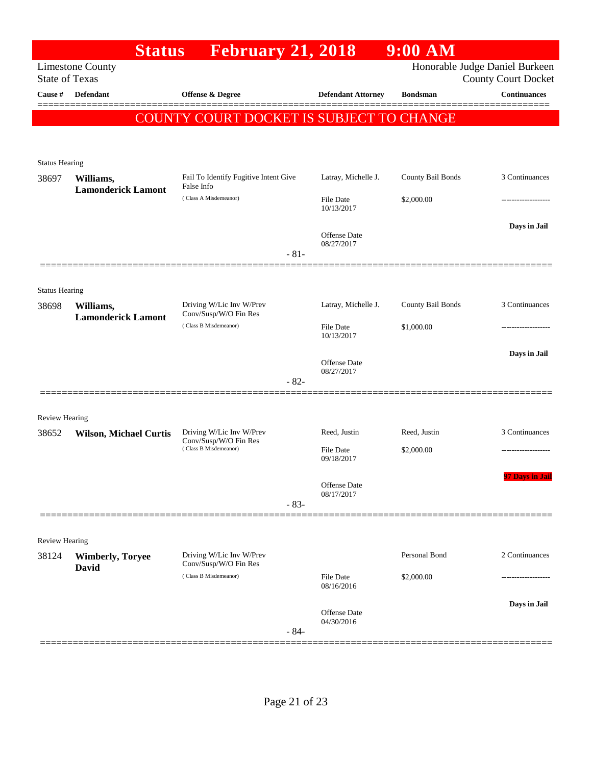|                                |                                  | <b>Status</b> | <b>February 21, 2018</b>                          |        |                                   | $9:00$ AM         |                                                              |
|--------------------------------|----------------------------------|---------------|---------------------------------------------------|--------|-----------------------------------|-------------------|--------------------------------------------------------------|
| <b>State of Texas</b>          | <b>Limestone County</b>          |               |                                                   |        |                                   |                   | Honorable Judge Daniel Burkeen<br><b>County Court Docket</b> |
| Cause #                        | Defendant                        |               | Offense & Degree                                  |        | <b>Defendant Attorney</b>         | <b>Bondsman</b>   | <b>Continuances</b>                                          |
|                                |                                  |               | COUNTY COURT DOCKET IS SUBJECT TO CHANGE          |        |                                   |                   |                                                              |
|                                |                                  |               |                                                   |        |                                   |                   |                                                              |
|                                |                                  |               |                                                   |        |                                   |                   |                                                              |
| <b>Status Hearing</b><br>38697 | Williams,                        |               | Fail To Identify Fugitive Intent Give             |        | Latray, Michelle J.               | County Bail Bonds | 3 Continuances                                               |
|                                | <b>Lamonderick Lamont</b>        |               | False Info<br>(Class A Misdemeanor)               |        | <b>File Date</b>                  | \$2,000.00        |                                                              |
|                                |                                  |               |                                                   |        | 10/13/2017                        |                   |                                                              |
|                                |                                  |               |                                                   |        | Offense Date                      |                   | Days in Jail                                                 |
|                                |                                  |               |                                                   | $-81-$ | 08/27/2017                        |                   |                                                              |
|                                |                                  |               |                                                   |        |                                   |                   |                                                              |
| <b>Status Hearing</b>          |                                  |               |                                                   |        |                                   |                   |                                                              |
| 38698                          | Williams,                        |               | Driving W/Lic Inv W/Prev<br>Conv/Susp/W/O Fin Res |        | Latray, Michelle J.               | County Bail Bonds | 3 Continuances                                               |
|                                | <b>Lamonderick Lamont</b>        |               | (Class B Misdemeanor)                             |        | <b>File Date</b>                  | \$1,000.00        |                                                              |
|                                |                                  |               |                                                   |        | 10/13/2017                        |                   | Days in Jail                                                 |
|                                |                                  |               |                                                   |        | Offense Date<br>08/27/2017        |                   |                                                              |
|                                |                                  |               |                                                   | $-82-$ |                                   |                   |                                                              |
|                                |                                  |               |                                                   |        |                                   |                   |                                                              |
| <b>Review Hearing</b>          |                                  |               | Driving W/Lic Inv W/Prev                          |        | Reed, Justin                      | Reed, Justin      | 3 Continuances                                               |
| 38652                          | <b>Wilson, Michael Curtis</b>    |               | Conv/Susp/W/O Fin Res<br>(Class B Misdemeanor)    |        | File Date                         | \$2,000.00        |                                                              |
|                                |                                  |               |                                                   |        | 09/18/2017                        |                   |                                                              |
|                                |                                  |               |                                                   |        | <b>Offense Date</b>               |                   | <b>Days in Jail</b>                                          |
|                                |                                  |               |                                                   | $-83-$ | 08/17/2017                        |                   |                                                              |
|                                |                                  |               |                                                   |        |                                   |                   |                                                              |
| Review Hearing                 |                                  |               |                                                   |        |                                   |                   |                                                              |
| 38124                          | <b>Wimberly, Toryee</b><br>David |               | Driving W/Lic Inv W/Prev<br>Conv/Susp/W/O Fin Res |        |                                   | Personal Bond     | 2 Continuances                                               |
|                                |                                  |               | (Class B Misdemeanor)                             |        | <b>File Date</b><br>08/16/2016    | \$2,000.00        |                                                              |
|                                |                                  |               |                                                   |        |                                   |                   | Days in Jail                                                 |
|                                |                                  |               |                                                   |        | <b>Offense Date</b><br>04/30/2016 |                   |                                                              |
|                                |                                  |               |                                                   | $-84-$ |                                   |                   |                                                              |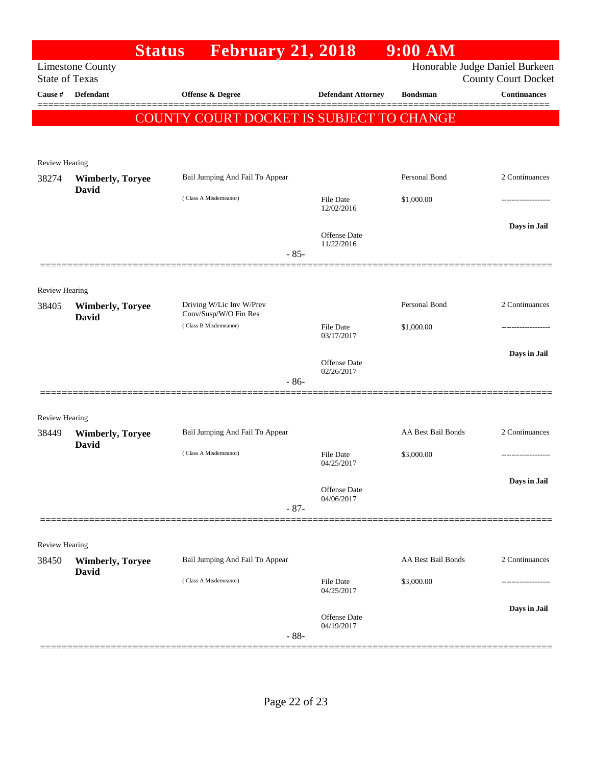|                                  |                         | <b>Status</b>                                  | <b>February 21, 2018</b>  | $9:00$ AM                 |                                                   |
|----------------------------------|-------------------------|------------------------------------------------|---------------------------|---------------------------|---------------------------------------------------|
|                                  | <b>Limestone County</b> |                                                |                           |                           | Honorable Judge Daniel Burkeen                    |
| <b>State of Texas</b><br>Cause # | <b>Defendant</b>        | <b>Offense &amp; Degree</b>                    | <b>Defendant Attorney</b> | <b>Bondsman</b>           | <b>County Court Docket</b><br><b>Continuances</b> |
|                                  |                         |                                                |                           |                           |                                                   |
|                                  |                         | COUNTY COURT DOCKET IS SUBJECT TO CHANGE       |                           |                           |                                                   |
|                                  |                         |                                                |                           |                           |                                                   |
| Review Hearing                   |                         |                                                |                           |                           |                                                   |
| 38274                            | <b>Wimberly, Toryee</b> | Bail Jumping And Fail To Appear                |                           | Personal Bond             | 2 Continuances                                    |
|                                  | David                   | (Class A Misdemeanor)                          | <b>File Date</b>          | \$1,000.00                |                                                   |
|                                  |                         |                                                | 12/02/2016                |                           |                                                   |
|                                  |                         |                                                | <b>Offense Date</b>       |                           | Days in Jail                                      |
|                                  |                         |                                                | 11/22/2016<br>$-85-$      |                           |                                                   |
|                                  |                         |                                                |                           |                           |                                                   |
| <b>Review Hearing</b>            |                         |                                                |                           |                           |                                                   |
| 38405                            | <b>Wimberly, Toryee</b> | Driving W/Lic Inv W/Prev                       |                           | Personal Bond             | 2 Continuances                                    |
|                                  | David                   | Conv/Susp/W/O Fin Res<br>(Class B Misdemeanor) | File Date                 | \$1,000.00                |                                                   |
|                                  |                         |                                                | 03/17/2017                |                           |                                                   |
|                                  |                         |                                                | <b>Offense Date</b>       |                           | Days in Jail                                      |
|                                  |                         |                                                | 02/26/2017<br>$-86-$      |                           |                                                   |
|                                  |                         |                                                |                           |                           |                                                   |
| <b>Review Hearing</b>            |                         |                                                |                           |                           |                                                   |
| 38449                            | <b>Wimberly, Toryee</b> | Bail Jumping And Fail To Appear                |                           | <b>AA Best Bail Bonds</b> | 2 Continuances                                    |
|                                  | David                   | (Class A Misdemeanor)                          | File Date                 | \$3,000.00                |                                                   |
|                                  |                         |                                                | 04/25/2017                |                           |                                                   |
|                                  |                         |                                                | <b>Offense Date</b>       |                           | Days in Jail                                      |
|                                  |                         |                                                | 04/06/2017<br>$-87-$      |                           |                                                   |
|                                  |                         |                                                |                           |                           |                                                   |
| <b>Review Hearing</b>            |                         |                                                |                           |                           |                                                   |
| 38450                            | <b>Wimberly, Toryee</b> | Bail Jumping And Fail To Appear                |                           | AA Best Bail Bonds        | 2 Continuances                                    |
|                                  | <b>David</b>            | (Class A Misdemeanor)                          | <b>File Date</b>          | \$3,000.00                |                                                   |
|                                  |                         |                                                | 04/25/2017                |                           |                                                   |
|                                  |                         |                                                | <b>Offense Date</b>       |                           | Days in Jail                                      |
|                                  |                         |                                                | 04/19/2017<br>$-88-$      |                           |                                                   |
|                                  |                         |                                                |                           |                           |                                                   |